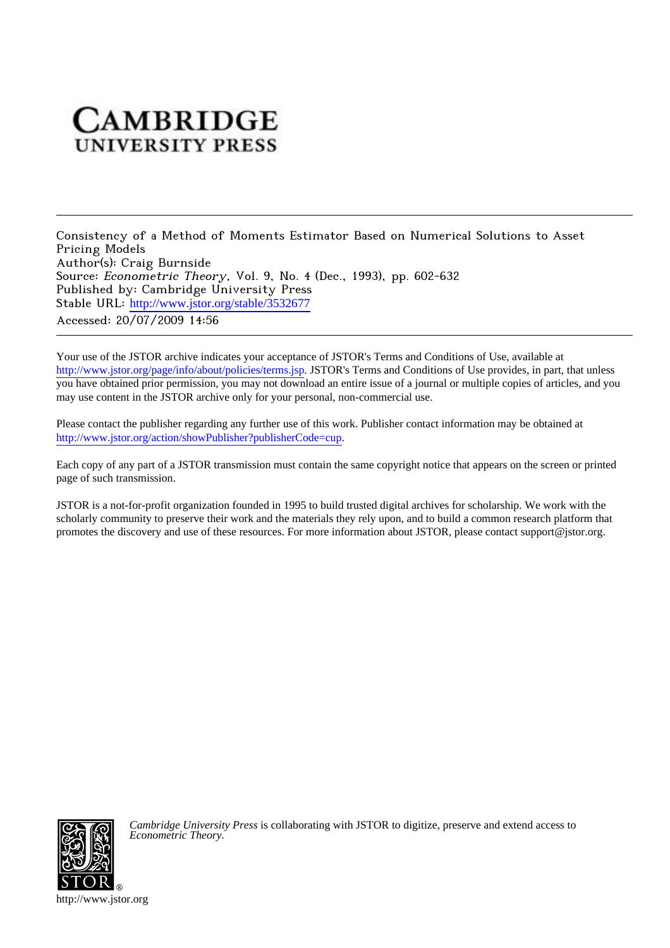# **CAMBRIDGE UNIVERSITY PRESS**

Consistency of a Method of Moments Estimator Based on Numerical Solutions to Asset Pricing Models Author(s): Craig Burnside Source: Econometric Theory, Vol. 9, No. 4 (Dec., 1993), pp. 602-632 Published by: Cambridge University Press Stable URL: [http://www.jstor.org/stable/3532677](http://www.jstor.org/stable/3532677?origin=JSTOR-pdf) Accessed: 20/07/2009 14:56

Your use of the JSTOR archive indicates your acceptance of JSTOR's Terms and Conditions of Use, available at <http://www.jstor.org/page/info/about/policies/terms.jsp>. JSTOR's Terms and Conditions of Use provides, in part, that unless you have obtained prior permission, you may not download an entire issue of a journal or multiple copies of articles, and you may use content in the JSTOR archive only for your personal, non-commercial use.

Please contact the publisher regarding any further use of this work. Publisher contact information may be obtained at <http://www.jstor.org/action/showPublisher?publisherCode=cup>.

Each copy of any part of a JSTOR transmission must contain the same copyright notice that appears on the screen or printed page of such transmission.

JSTOR is a not-for-profit organization founded in 1995 to build trusted digital archives for scholarship. We work with the scholarly community to preserve their work and the materials they rely upon, and to build a common research platform that promotes the discovery and use of these resources. For more information about JSTOR, please contact support@jstor.org.



*Cambridge University Press* is collaborating with JSTOR to digitize, preserve and extend access to *Econometric Theory.*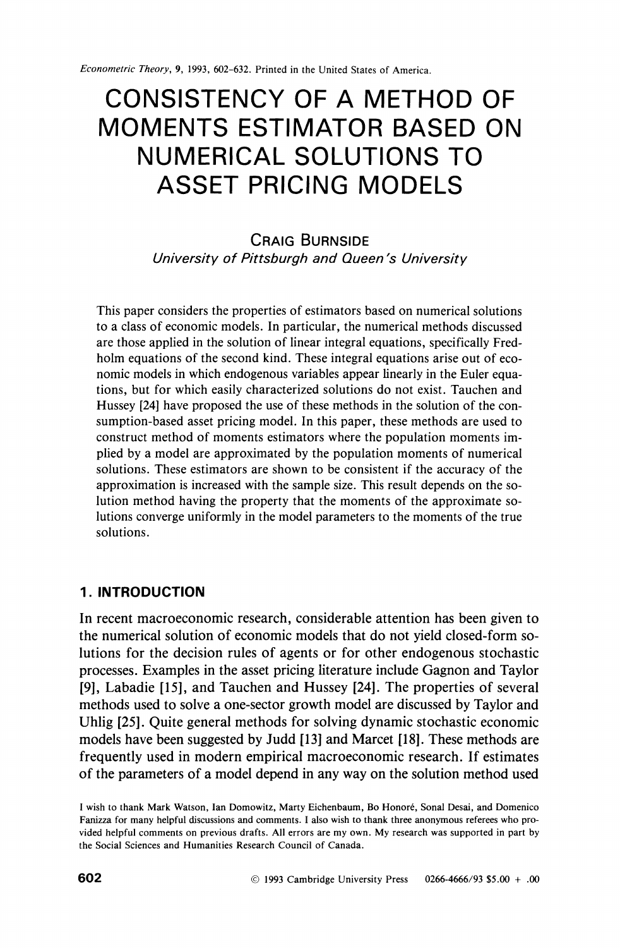# **CONSISTENCY OF A METHOD OF MOMENTS ESTIMATOR BASED ON NUMERICAL SOLUTIONS TO ASSET PRICING MODELS**

## **CRAIG BURNSIDE University of Pittsburgh and Queen's University**

**This paper considers the properties of estimators based on numerical solutions to a class of economic models. In particular, the numerical methods discussed are those applied in the solution of linear integral equations, specifically Fredholm equations of the second kind. These integral equations arise out of economic models in which endogenous variables appear linearly in the Euler equations, but for which easily characterized solutions do not exist. Tauchen and Hussey [24] have proposed the use of these methods in the solution of the consumption-based asset pricing model. In this paper, these methods are used to construct method of moments estimators where the population moments implied by a model are approximated by the population moments of numerical solutions. These estimators are shown to be consistent if the accuracy of the approximation is increased with the sample size. This result depends on the solution method having the property that the moments of the approximate solutions converge uniformly in the model parameters to the moments of the true solutions.** 

### **1. INTRODUCTION**

**In recent macroeconomic research, considerable attention has been given to the numerical solution of economic models that do not yield closed-form solutions for the decision rules of agents or for other endogenous stochastic processes. Examples in the asset pricing literature include Gagnon and Taylor [9], Labadie [15], and Tauchen and Hussey [24]. The properties of several methods used to solve a one-sector growth model are discussed by Taylor and Uhlig [25]. Quite general methods for solving dynamic stochastic economic models have been suggested by Judd [13] and Marcet [18]. These methods are frequently used in modern empirical macroeconomic research. If estimates of the parameters of a model depend in any way on the solution method used** 

**I wish to thank Mark Watson, Ian Domowitz, Marty Eichenbaum, Bo Honor6, Sonal Desai, and Domenico Fanizza for many helpful discussions and comments. I also wish to thank three anonymous referees who provided helpful comments on previous drafts. All errors are my own. My research was supported in part by the Social Sciences and Humanities Research Council of Canada.**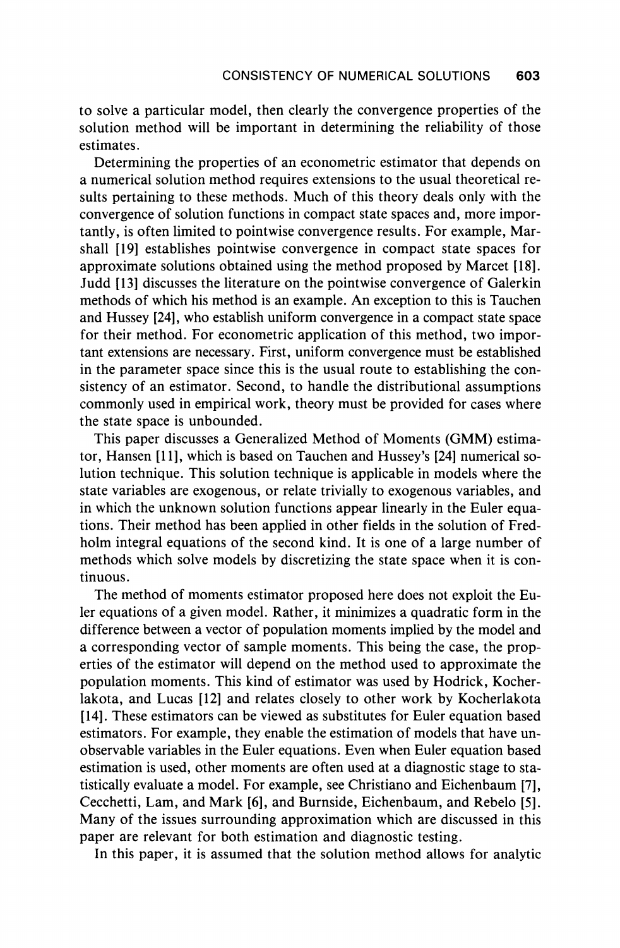**to solve a particular model, then clearly the convergence properties of the solution method will be important in determining the reliability of those estimates.** 

**Determining the properties of an econometric estimator that depends on a numerical solution method requires extensions to the usual theoretical results pertaining to these methods. Much of this theory deals only with the convergence of solution functions in compact state spaces and, more importantly, is often limited to pointwise convergence results. For example, Marshall [19] establishes pointwise convergence in compact state spaces for approximate solutions obtained using the method proposed by Marcet [18]. Judd [13] discusses the literature on the pointwise convergence of Galerkin methods of which his method is an example. An exception to this is Tauchen and Hussey [24], who establish uniform convergence in a compact state space for their method. For econometric application of this method, two important extensions are necessary. First, uniform convergence must be established in the parameter space since this is the usual route to establishing the consistency of an estimator. Second, to handle the distributional assumptions commonly used in empirical work, theory must be provided for cases where the state space is unbounded.** 

**This paper discusses a Generalized Method of Moments (GMM) estimator, Hansen [11], which is based on Tauchen and Hussey's [24] numerical solution technique. This solution technique is applicable in models where the state variables are exogenous, or relate trivially to exogenous variables, and in which the unknown solution functions appear linearly in the Euler equations. Their method has been applied in other fields in the solution of Fredholm integral equations of the second kind. It is one of a large number of methods which solve models by discretizing the state space when it is continuous.** 

**The method of moments estimator proposed here does not exploit the Euler equations of a given model. Rather, it minimizes a quadratic form in the difference between a vector of population moments implied by the model and a corresponding vector of sample moments. This being the case, the properties of the estimator will depend on the method used to approximate the population moments. This kind of estimator was used by Hodrick, Kocherlakota, and Lucas [12] and relates closely to other work by Kocherlakota [14]. These estimators can be viewed as substitutes for Euler equation based estimators. For example, they enable the estimation of models that have unobservable variables in the Euler equations. Even when Euler equation based estimation is used, other moments are often used at a diagnostic stage to statistically evaluate a model. For example, see Christiano and Eichenbaum [7], Cecchetti, Lam, and Mark [6], and Burnside, Eichenbaum, and Rebelo [5]. Many of the issues surrounding approximation which are discussed in this paper are relevant for both estimation and diagnostic testing.** 

**In this paper, it is assumed that the solution method allows for analytic**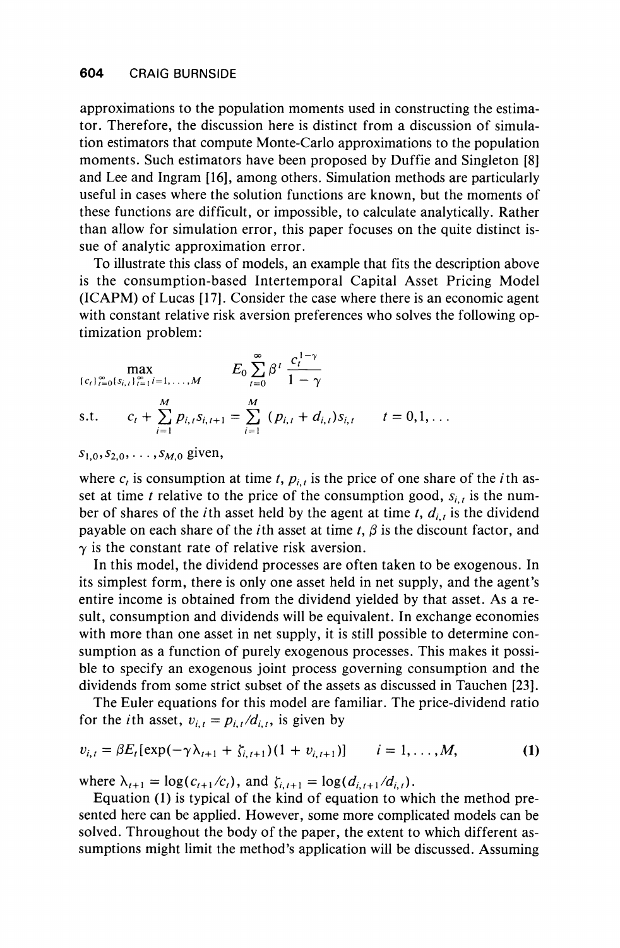**approximations to the population moments used in constructing the estimator. Therefore, the discussion here is distinct from a discussion of simulation estimators that compute Monte-Carlo approximations to the population moments. Such estimators have been proposed by Duffie and Singleton [8] and Lee and Ingram [16], among others. Simulation methods are particularly useful in cases where the solution functions are known, but the moments of these functions are difficult, or impossible, to calculate analytically. Rather than allow for simulation error, this paper focuses on the quite distinct issue of analytic approximation error.** 

**To illustrate this class of models, an example that fits the description above is the consumption-based Intertemporal Capital Asset Pricing Model (ICAPM) of Lucas [17]. Consider the case where there is an economic agent with constant relative risk aversion preferences who solves the following optimization problem:** 

$$
\max_{\{c_i\}_{i=0}^{\infty} \{s_{i,t}\}_{i=1}^{\infty} i=1,\ldots,M} \qquad E_0 \sum_{t=0}^{\infty} \beta^t \frac{c_t^{1-\gamma}}{1-\gamma}
$$
\ns.t.  $c_t + \sum_{i=1}^M p_{i,t} s_{i,t+1} = \sum_{i=1}^M (p_{i,t} + d_{i,t}) s_{i,t} \qquad t = 0,1,\ldots$ 

 $S_{1,0}, S_{2,0}, \ldots, S_{M,0}$  given,

where  $c_t$  is consumption at time t,  $p_{i,t}$  is the price of one share of the *i*th asset at time *t* relative to the price of the consumption good,  $s_{i,t}$  is the number of shares of the *i*th asset held by the agent at time  $t$ ,  $d_{i,t}$  is the dividend payable on each share of the *i*th asset at time  $t$ ,  $\beta$  is the discount factor, and  $\gamma$  is the constant rate of relative risk aversion.

**In this model, the dividend processes are often taken to be exogenous. In its simplest form, there is only one asset held in net supply, and the agent's entire income is obtained from the dividend yielded by that asset. As a result, consumption and dividends will be equivalent. In exchange economies with more than one asset in net supply, it is still possible to determine consumption as a function of purely exogenous processes. This makes it possible to specify an exogenous joint process governing consumption and the dividends from some strict subset of the assets as discussed in Tauchen [23].** 

**The Euler equations for this model are familiar. The price-dividend ratio**  for the *i*th asset,  $v_{i,t} = p_{i,t}/d_{i,t}$ , is given by

$$
v_{i,t} = \beta E_t [\exp(-\gamma \lambda_{t+1} + \zeta_{i,t+1})(1 + v_{i,t+1})] \qquad i = 1, ..., M,
$$
 (1)

where  $\lambda_{t+1} = \log(c_{t+1}/c_t)$ , and  $\zeta_{i,t+1} = \log(d_{i,t+1}/d_{i,t})$ .

**Equation (1) is typical of the kind of equation to which the method presented here can be applied. However, some more complicated models can be solved. Throughout the body of the paper, the extent to which different assumptions might limit the method's application will be discussed. Assuming**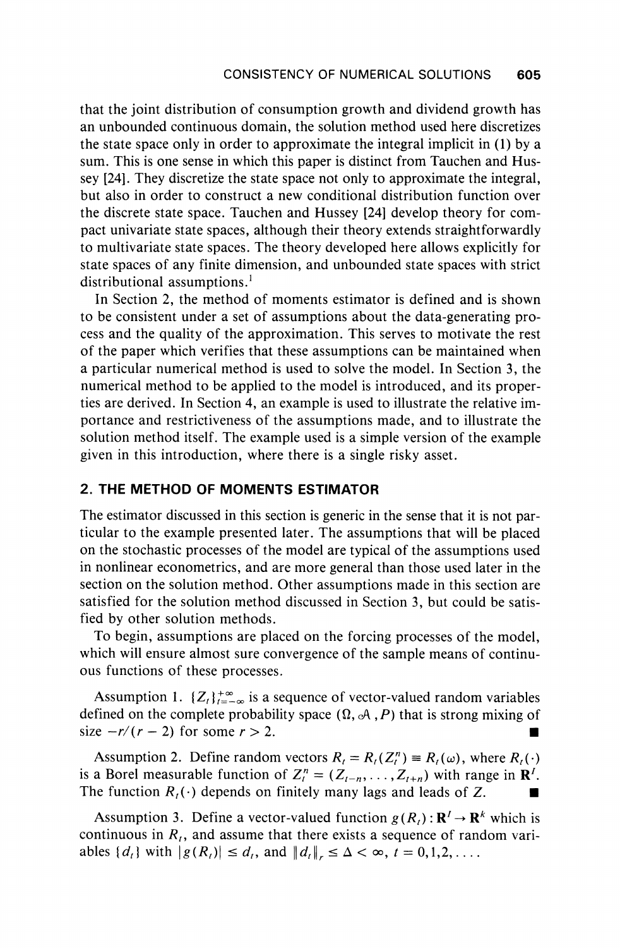**that the joint distribution of consumption growth and dividend growth has an unbounded continuous domain, the solution method used here discretizes the state space only in order to approximate the integral implicit in (1) by a sum. This is one sense in which this paper is distinct from Tauchen and Hussey [24]. They discretize the state space not only to approximate the integral, but also in order to construct a new conditional distribution function over the discrete state space. Tauchen and Hussey [24] develop theory for compact univariate state spaces, although their theory extends straightforwardly to multivariate state spaces. The theory developed here allows explicitly for state spaces of any finite dimension, and unbounded state spaces with strict distributional assumptions.1** 

**In Section 2, the method of moments estimator is defined and is shown to be consistent under a set of assumptions about the data-generating process and the quality of the approximation. This serves to motivate the rest of the paper which verifies that these assumptions can be maintained when a particular numerical method is used to solve the model. In Section 3, the numerical method to be applied to the model is introduced, and its properties are derived. In Section 4, an example is used to illustrate the relative importance and restrictiveness of the assumptions made, and to illustrate the solution method itself. The example used is a simple version of the example given in this introduction, where there is a single risky asset.** 

#### **2. THE METHOD OF MOMENTS ESTIMATOR**

**The estimator discussed in this section is generic in the sense that it is not particular to the example presented later. The assumptions that will be placed on the stochastic processes of the model are typical of the assumptions used in nonlinear econometrics, and are more general than those used later in the section on the solution method. Other assumptions made in this section are satisfied for the solution method discussed in Section 3, but could be satisfied by other solution methods.** 

**To begin, assumptions are placed on the forcing processes of the model, which will ensure almost sure convergence of the sample means of continuous functions of these processes.** 

Assumption 1.  ${Z_t}_{t=\infty}^{+\infty}$  is a sequence of vector-valued random variables defined on the complete probability space  $(\Omega, A, P)$  that is strong mixing of size  $-r/(r-2)$  for some  $r > 2$ .

**Assumption 2. Define random vectors**  $R_t = R_t(Z_t^n) \equiv R_t(\omega)$ **, where**  $R_t(\cdot)$ is a Borel measurable function of  $Z_t^n = (Z_{t-n}, \ldots, Z_{t+n})$  with range in  $\mathbb{R}^l$ . The function  $R_i(\cdot)$  depends on finitely many lags and leads of Z.

**Assumption 3. Define a vector-valued function**  $g(R_t): \mathbf{R}^1 \to \mathbf{R}^k$  **which is** continuous in  $R_t$ , and assume that there exists a sequence of random variables  $\{d_t\}$  with  $|g(R_t)| \leq d_t$ , and  $||d_t||_r \leq \Delta < \infty$ ,  $t = 0, 1, 2, \ldots$ .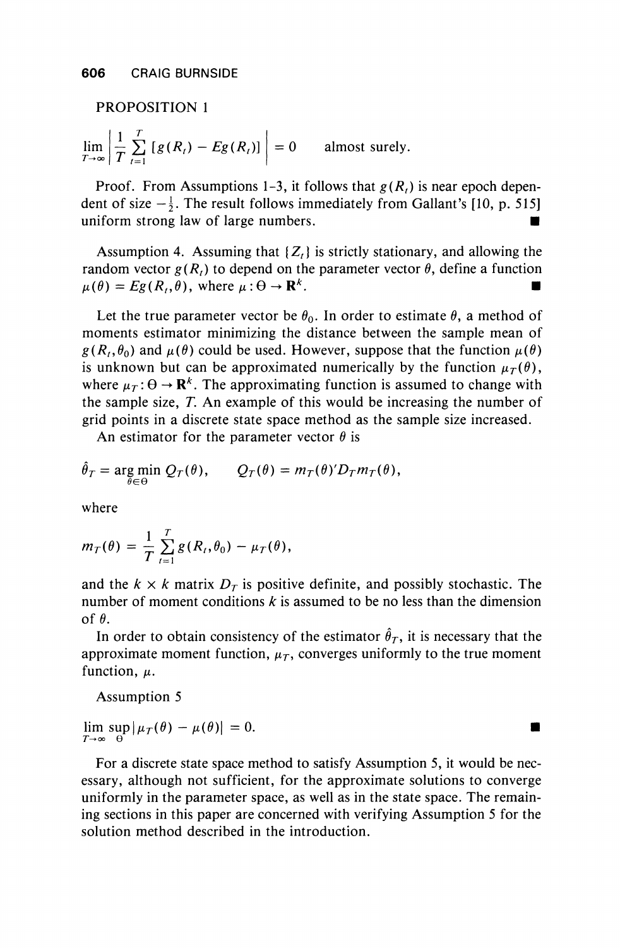#### **PROPOSITION 1**

$$
\lim_{T\to\infty}\left|\frac{1}{T}\sum_{i=1}^T\left[g(R_i)-E g(R_i)\right]\right|=0
$$
 almost surely.

**Proof.** From Assumptions 1-3, it follows that  $g(R)$  is near epoch dependent of size  $-\frac{1}{2}$ . The result follows immediately from Gallant's [10, p. 515] **uniform strong law of large numbers. <sup>X</sup>**

Assumption 4. Assuming that  $\{Z_t\}$  is strictly stationary, and allowing the random vector  $g(R_t)$  to depend on the parameter vector  $\theta$ , define a function  $\mu(\theta) = Eg(R_t, \theta)$ , where  $\mu : \Theta \to \mathbf{R}^k$ .

Let the true parameter vector be  $\theta_0$ . In order to estimate  $\theta$ , a method of **moments estimator minimizing the distance between the sample mean of**   $g(R_t, \theta_0)$  and  $\mu(\theta)$  could be used. However, suppose that the function  $\mu(\theta)$ is unknown but can be approximated numerically by the function  $\mu_T(\theta)$ , where  $\mu_T: \Theta \to \mathbf{R}^k$ . The approximating function is assumed to change with **the sample size, T. An example of this would be increasing the number of grid points in a discrete state space method as the sample size increased.** 

An estimator for the parameter vector  $\theta$  is

$$
\hat{\theta}_T = \underset{\theta \in \Theta}{\arg \min} \ Q_T(\theta), \qquad Q_T(\theta) = m_T(\theta)' D_T m_T(\theta),
$$

**where** 

$$
m_T(\theta) = \frac{1}{T} \sum_{t=1}^T g(R_t, \theta_0) - \mu_T(\theta),
$$

and the  $k \times k$  matrix  $D<sub>T</sub>$  is positive definite, and possibly stochastic. The **number of moment conditions k is assumed to be no less than the dimension**  of  $\theta$ .

In order to obtain consistency of the estimator  $\hat{\theta}_T$ , it is necessary that the approximate moment function,  $\mu_T$ , converges uniformly to the true moment function,  $\mu$ .

п

**Assumption 5** 

 $\limsup |\mu_T(\theta) - \mu(\theta)| = 0.$  $T \rightarrow \infty$   $\Theta$ 

**For a discrete state space method to satisfy Assumption 5, it would be necessary, although not sufficient, for the approximate solutions to converge uniformly in the parameter space, as well as in the state space. The remaining sections in this paper are concerned with verifying Assumption 5 for the solution method described in the introduction.**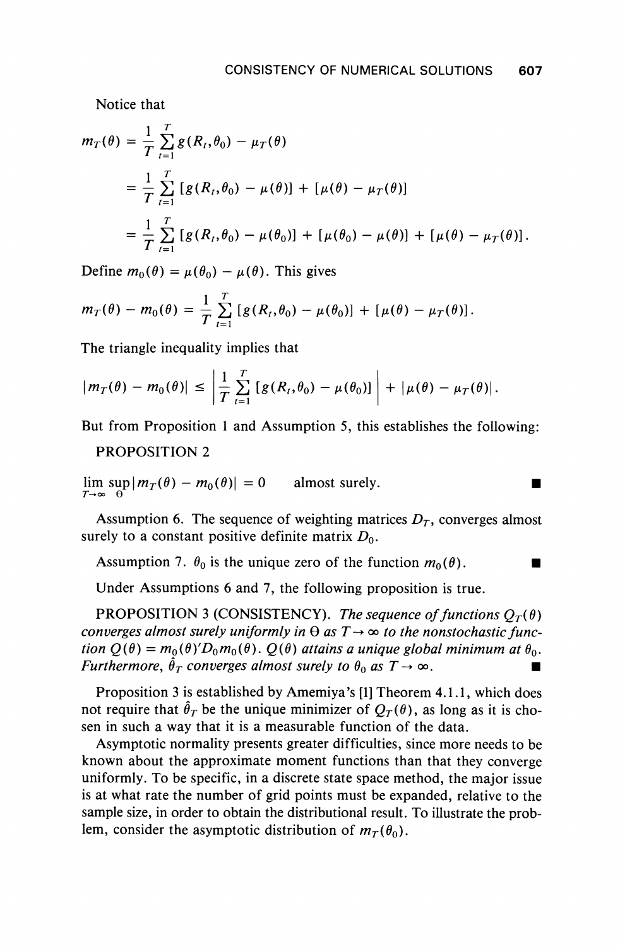**Notice that** 

$$
m_T(\theta) = \frac{1}{T} \sum_{t=1}^T g(R_t, \theta_0) - \mu_T(\theta)
$$
  
= 
$$
\frac{1}{T} \sum_{t=1}^T [g(R_t, \theta_0) - \mu(\theta)] + [\mu(\theta) - \mu_T(\theta)]
$$
  
= 
$$
\frac{1}{T} \sum_{t=1}^T [g(R_t, \theta_0) - \mu(\theta_0)] + [\mu(\theta_0) - \mu(\theta)] + [\mu(\theta) - \mu_T(\theta)].
$$

Define  $m_0(\theta) = \mu(\theta_0) - \mu(\theta)$ . This gives

$$
m_T(\theta) - m_0(\theta) = \frac{1}{T} \sum_{t=1}^T \left[ g(R_t, \theta_0) - \mu(\theta_0) \right] + \left[ \mu(\theta) - \mu_T(\theta) \right].
$$

**The triangle inequality implies that** 

$$
|m_T(\theta)-m_0(\theta)|\leq \left|\frac{1}{T}\sum_{t=1}^T \left[g(R_t,\theta_0)-\mu(\theta_0)\right]\right|+|\mu(\theta)-\mu_T(\theta)|.
$$

**But from Proposition 1 and Assumption 5, this establishes the following:** 

**PROPOSITION 2** 

 $\lim_{T \to \infty} \sup_{\Theta} |m_T(\theta) - m_0(\theta)| = 0$  almost surely.

Assumption 6. The sequence of weighting matrices  $D<sub>T</sub>$ , converges almost surely to a constant positive definite matrix  $D_0$ .

**Assumption 7.**  $\theta_0$  is the unique zero of the function  $m_0(\theta)$ .

**Under Assumptions 6 and 7, the following proposition is true.** 

**PROPOSITION 3 (CONSISTENCY).** The sequence of functions  $Q_T(\theta)$ converges almost surely uniformly in  $\Theta$  as  $T \rightarrow \infty$  to the nonstochastic func- $\text{tion } Q(\theta) = m_0(\theta)' D_0 m_0(\theta)$ .  $Q(\theta)$  attains a unique global minimum at  $\theta_0$ . Furthermore,  $\hat{\theta}_T$  converges almost surely to  $\theta_0$  as  $T \rightarrow \infty$ .

**Proposition 3 is established by Amemiya's [1] Theorem 4.1.1, which does**  not require that  $\hat{\theta}_T$  be the unique minimizer of  $Q_T(\theta)$ , as long as it is cho**sen in such a way that it is a measurable function of the data.** 

**Asymptotic normality presents greater difficulties, since more needs to be known about the approximate moment functions than that they converge uniformly. To be specific, in a discrete state space method, the major issue is at what rate the number of grid points must be expanded, relative to the sample size, in order to obtain the distributional result. To illustrate the prob**lem, consider the asymptotic distribution of  $m_T(\theta_0)$ .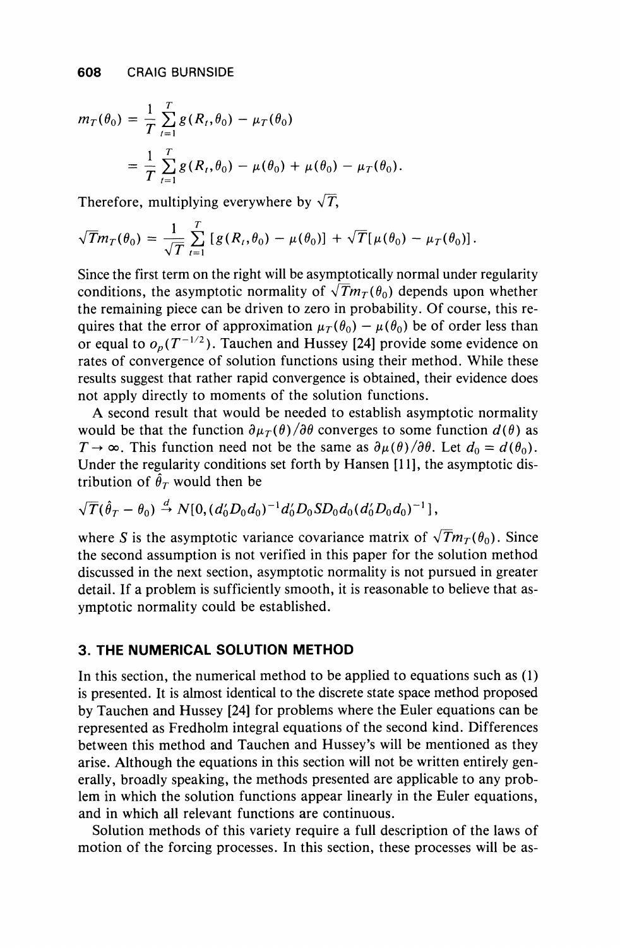$$
m_T(\theta_0) = \frac{1}{T} \sum_{t=1}^T g(R_t, \theta_0) - \mu_T(\theta_0)
$$
  
= 
$$
\frac{1}{T} \sum_{t=1}^T g(R_t, \theta_0) - \mu(\theta_0) + \mu(\theta_0) - \mu_T(\theta_0).
$$

Therefore, multiplying everywhere by  $\sqrt{T}$ ,

$$
\sqrt{T}m_T(\theta_0)=\frac{1}{\sqrt{T}}\sum_{t=1}^T\left[g(R_t,\theta_0)-\mu(\theta_0)\right]+\sqrt{T}[\mu(\theta_0)-\mu_T(\theta_0)].
$$

**Since the first term on the right will be asymptotically normal under regularity**  conditions, the asymptotic normality of  $\sqrt{T}m_{\tau}(\theta_0)$  depends upon whether **the remaining piece can be driven to zero in probability. Of course, this requires that the error of approximation**  $\mu_T(\theta_0) - \mu(\theta_0)$  **be of order less than** or equal to  $o_n(T^{-1/2})$ . Tauchen and Hussey [24] provide some evidence on **rates of convergence of solution functions using their method. While these results suggest that rather rapid convergence is obtained, their evidence does not apply directly to moments of the solution functions.** 

**A second result that would be needed to establish asymptotic normality**  would be that the function  $\partial \mu_T(\theta)/\partial \theta$  converges to some function  $d(\theta)$  as  $T \rightarrow \infty$ . This function need not be the same as  $\partial \mu(\theta)/\partial \theta$ . Let  $d_0 = d(\theta_0)$ . **Under the regularity conditions set forth by Hansen [11], the asymptotic distribution of**  $\hat{\theta}_T$  **would then be** 

$$
\sqrt{T}(\hat{\theta}_T - \theta_0) \stackrel{d}{\rightarrow} N[0, (d'_0 D_0 d_0)^{-1} d'_0 D_0 S D_0 d_0 (d'_0 D_0 d_0)^{-1}],
$$

where S is the asymptotic variance covariance matrix of  $\sqrt{T}m_T(\theta_0)$ . Since **the second assumption is not verified in this paper for the solution method discussed in the next section, asymptotic normality is not pursued in greater detail. If a problem is sufficiently smooth, it is reasonable to believe that asymptotic normality could be established.** 

#### **3. THE NUMERICAL SOLUTION METHOD**

**In this section, the numerical method to be applied to equations such as (1) is presented. It is almost identical to the discrete state space method proposed by Tauchen and Hussey [24] for problems where the Euler equations can be represented as Fredholm integral equations of the second kind. Differences between this method and Tauchen and Hussey's will be mentioned as they arise. Although the equations in this section will not be written entirely generally, broadly speaking, the methods presented are applicable to any problem in which the solution functions appear linearly in the Euler equations, and in which all relevant functions are continuous.** 

**Solution methods of this variety require a full description of the laws of motion of the forcing processes. In this section, these processes will be as-**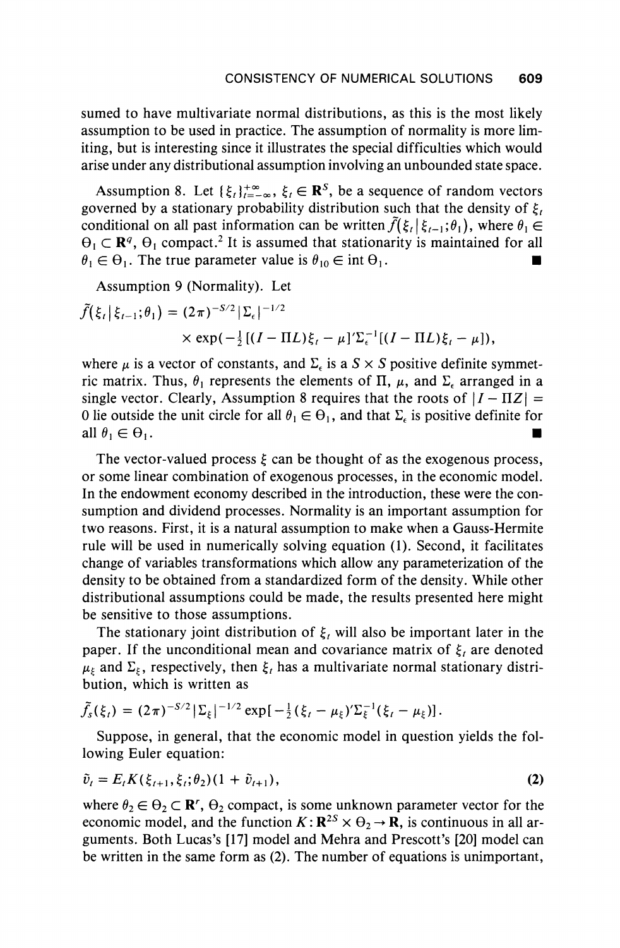**sumed to have multivariate normal distributions, as this is the most likely assumption to be used in practice. The assumption of normality is more limiting, but is interesting since it illustrates the special difficulties which would arise under any distributional assumption involving an unbounded state space.** 

Assumption 8. Let  $\{\xi_t\}_{t=-\infty}^{+\infty}$ ,  $\xi_t \in \mathbb{R}^S$ , be a sequence of random vectors governed by a stationary probability distribution such that the density of  $\xi_t$ conditional on all past information can be written  $\tilde{f}(\xi_t | \xi_{t-1}; \theta_1)$ , where  $\theta_1 \in$  $\Theta_1 \subset \mathbb{R}^q$ ,  $\Theta_1$  compact.<sup>2</sup> It is assumed that stationarity is maintained for all  $\theta_1 \in \Theta_1$ . The true parameter value is  $\theta_{10} \in \text{int } \Theta_1$ .

**Assumption 9 (Normality). Let** 

$$
\tilde{f}(\xi_t | \xi_{t-1}; \theta_1) = (2\pi)^{-S/2} |\Sigma_{\epsilon}|^{-1/2} \times \exp(-\frac{1}{2} [(I - \Pi L)\xi_t - \mu]' \Sigma_{\epsilon}^{-1} [(I - \Pi L)\xi_t - \mu]),
$$

where  $\mu$  is a vector of constants, and  $\Sigma_{\epsilon}$  is a  $S \times S$  positive definite symmetric matrix. Thus,  $\theta_1$  represents the elements of  $\Pi$ ,  $\mu$ , and  $\Sigma<sub>\epsilon</sub>$  arranged in a single vector. Clearly, Assumption 8 requires that the roots of  $|I-\Pi Z|$  = **0** lie outside the unit circle for all  $\theta_1 \in \Theta_1$ , and that  $\Sigma_{\epsilon}$  is positive definite for all  $\theta_1 \in \Theta_1$ .

The vector-valued process  $\xi$  can be thought of as the exogenous process, **or some linear combination of exogenous processes, in the economic model. In the endowment economy described in the introduction, these were the consumption and dividend processes. Normality is an important assumption for two reasons. First, it is a natural assumption to make when a Gauss-Hermite rule will be used in numerically solving equation (1). Second, it facilitates change of variables transformations which allow any parameterization of the density to be obtained from a standardized form of the density. While other distributional assumptions could be made, the results presented here might be sensitive to those assumptions.** 

The stationary joint distribution of  $\xi_t$  will also be important later in the paper. If the unconditional mean and covariance matrix of  $\xi_t$  are denoted  $\mu_{\xi}$  and  $\Sigma_{\xi}$ , respectively, then  $\xi_{\iota}$  has a multivariate normal stationary distri**bution, which is written as** 

$$
\tilde{f}_s(\xi_t) = (2\pi)^{-S/2} |\Sigma_{\xi}|^{-1/2} \exp[-\tfrac{1}{2}(\xi_t - \mu_{\xi})' \Sigma_{\xi}^{-1}(\xi_t - \mu_{\xi})].
$$

**Suppose, in general, that the economic model in question yields the following Euler equation:** 

$$
\tilde{v}_t = E_t K(\xi_{t+1}, \xi_t; \theta_2) (1 + \tilde{v}_{t+1}), \tag{2}
$$

where  $\theta_2 \in \Theta_2 \subset \mathbb{R}^r$ ,  $\Theta_2$  compact, is some unknown parameter vector for the **economic model, and the function**  $K: \mathbb{R}^{2S} \times \Theta_2 \rightarrow \mathbb{R}$ **, is continuous in all arguments. Both Lucas's [17] model and Mehra and Prescott's [20] model can be written in the same form as (2). The number of equations is unimportant,**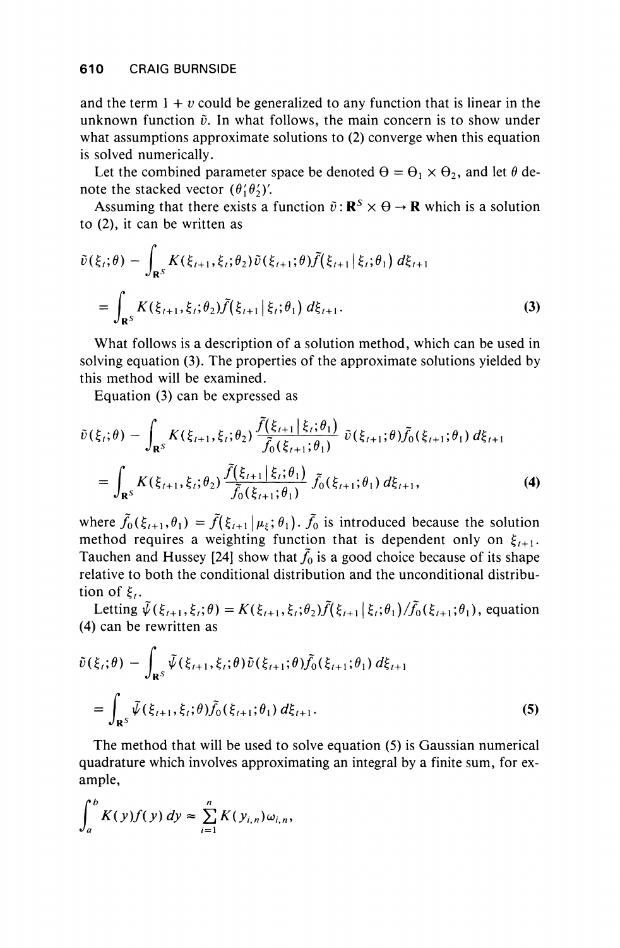and the term  $1 + v$  could be generalized to any function that is linear in the unknown function  $\tilde{v}$ . In what follows, the main concern is to show under **what assumptions approximate solutions to (2) converge when this equation is solved numerically.** 

Let the combined parameter space be denoted  $\theta = \theta_1 \times \theta_2$ , and let  $\theta$  denote the stacked vector  $(\theta_1 \theta_2)'$ .

Assuming that there exists a function  $\tilde{v}$ :  $\mathbb{R}^S \times \Theta \rightarrow \mathbb{R}$  which is a solution **to (2), it can be written as** 

$$
\tilde{v}(\xi_{i};\theta) - \int_{\mathbf{R}^{S}} K(\xi_{t+1},\xi_{i};\theta_{2}) \tilde{v}(\xi_{t+1};\theta) \tilde{f}(\xi_{t+1} | \xi_{i};\theta_{1}) d\xi_{t+1}
$$
\n
$$
= \int_{\mathbf{R}^{S}} K(\xi_{t+1},\xi_{i};\theta_{2}) \tilde{f}(\xi_{t+1} | \xi_{i};\theta_{1}) d\xi_{t+1}.
$$
\n(3)

**What follows is a description of a solution method, which can be used in solving equation (3). The properties of the approximate solutions yielded by this method will be examined.** 

**Equation (3) can be expressed as** 

$$
\tilde{v}(\xi_i; \theta) - \int_{\mathbf{R}^S} K(\xi_{i+1}, \xi_i; \theta_2) \frac{\tilde{f}(\xi_{i+1} | \xi_i; \theta_1)}{\tilde{f}_0(\xi_{i+1}; \theta_1)} \ \tilde{v}(\xi_{i+1}; \theta) \tilde{f}_0(\xi_{i+1}; \theta_1) \ d\xi_{i+1}
$$
\n
$$
= \int_{\mathbf{R}^S} K(\xi_{i+1}, \xi_i; \theta_2) \frac{\tilde{f}(\xi_{i+1} | \xi_i; \theta_1)}{\tilde{f}_0(\xi_{i+1}; \theta_1)} \ \tilde{f}_0(\xi_{i+1}; \theta_1) \ d\xi_{i+1}, \tag{4}
$$

where  $\tilde{f}_0(\xi_{t+1}, \theta_1) = \tilde{f}(\xi_{t+1} | \mu_\xi; \theta_1)$ .  $\tilde{f}_0$  is introduced because the solution method requires a weighting function that is dependent only on  $\xi_{t+1}$ . Tauchen and Hussey [24] show that  $\tilde{f}_0$  is a good choice because of its shape **relative to both the conditional distribution and the unconditional distribu**tion of  $\xi_i$ .

**Letting**  $\tilde{\psi}(\xi_{t+1},\xi_t;\theta) = K(\xi_{t+1},\xi_t;\theta_2) \tilde{f}(\xi_{t+1}|\xi_t;\theta_1)/\tilde{f}_0(\xi_{t+1};\theta_1)$ , equation **(4) can be rewritten as** 

$$
\tilde{v}(\xi_i; \theta) - \int_{\mathbf{R}^S} \tilde{\psi}(\xi_{i+1}, \xi_i; \theta) \tilde{v}(\xi_{i+1}; \theta) \tilde{f}_0(\xi_{i+1}; \theta_1) d\xi_{i+1}
$$
\n
$$
= \int_{\mathbf{R}^S} \tilde{\psi}(\xi_{i+1}, \xi_i; \theta) \tilde{f}_0(\xi_{i+1}; \theta_1) d\xi_{i+1}.
$$
\n(5)

**The method that will be used to solve equation (5) is Gaussian numerical quadrature which involves approximating an integral by a finite sum, for example,** 

$$
\int_a^b K(y)f(y)\,dy \approx \sum_{i=1}^n K(y_{i,n})\omega_{i,n},
$$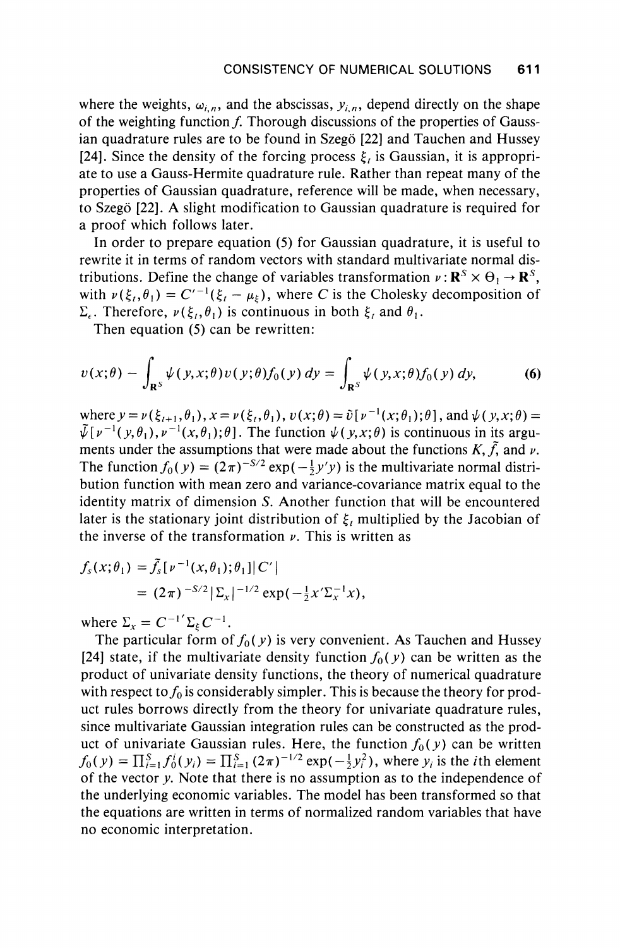where the weights,  $\omega_{i,n}$ , and the abscissas,  $y_{i,n}$ , depend directly on the shape of the weighting function f. Thorough discussions of the properties of Gauss**ian quadrature rules are to be found in Szego [22] and Tauchen and Hussey**  [24]. Since the density of the forcing process  $\xi_t$  is Gaussian, it is appropri**ate to use a Gauss-Hermite quadrature rule. Rather than repeat many of the properties of Gaussian quadrature, reference will be made, when necessary, to Szego [22]. A slight modification to Gaussian quadrature is required for a proof which follows later.** 

**In order to prepare equation (5) for Gaussian quadrature, it is useful to rewrite it in terms of random vectors with standard multivariate normal dis**tributions. Define the change of variables transformation  $\nu : \mathbf{R}^S \times \Theta_1 \to \mathbf{R}^S$ , with  $\nu(\xi_t,\theta_1) = C'^{-1}(\xi_t - \mu_\xi)$ , where C is the Cholesky decomposition of  $\Sigma_{\epsilon}$ . Therefore,  $\nu(\xi_{\iota}, \theta_1)$  is continuous in both  $\xi_{\iota}$  and  $\theta_1$ .

**Then equation (5) can be rewritten:** 

$$
v(x; \theta) - \int_{\mathbf{R}^S} \psi(y, x; \theta) v(y; \theta) f_0(y) dy = \int_{\mathbf{R}^S} \psi(y, x; \theta) f_0(y) dy,
$$
 (6)

where  $y = \nu(\xi_{t+1}, \theta_1), x = \nu(\xi_t, \theta_1), v(x; \theta) = \tilde{v}[\nu^{-1}(x; \theta_1); \theta]$ , and  $\psi(y, x; \theta) =$  $\tilde{\psi}[\nu^{-1}(y, \theta_1), \nu^{-1}(x, \theta_1); \theta]$ . The function  $\psi(y, x; \theta)$  is continuous in its arguments under the assumptions that were made about the functions  $K, \tilde{f}$ , and  $\nu$ . The function  $f_0(y) = (2\pi)^{-S/2} \exp(-\frac{1}{2}y'y)$  is the multivariate normal distri**bution function with mean zero and variance-covariance matrix equal to the identity matrix of dimension S. Another function that will be encountered**  later is the stationary joint distribution of  $\xi$ , multiplied by the Jacobian of **the inverse of the transformation v. This is written as** 

$$
f_s(x; \theta_1) = \tilde{f}_s[\nu^{-1}(x, \theta_1); \theta_1] | C'|
$$
  
=  $(2\pi)^{-S/2} |\Sigma_x|^{-1/2} \exp(-\frac{1}{2}x' \Sigma_x^{-1} x),$ 

where  $\Sigma_x = C^{-1} \Sigma_{\xi} C^{-1}$ .

The particular form of  $f_0(y)$  is very convenient. As Tauchen and Hussey [24] state, if the multivariate density function  $f_0(y)$  can be written as the **product of univariate density functions, the theory of numerical quadrature**  with respect to  $f_0$  is considerably simpler. This is because the theory for prod**uct rules borrows directly from the theory for univariate quadrature rules, since multivariate Gaussian integration rules can be constructed as the prod**uct of univariate Gaussian rules. Here, the function  $f_0(y)$  can be written  $f_0(y) = \prod_{i=1}^S f_0^i(y_i) = \prod_{i=1}^S (2\pi)^{-1/2} \exp(-\frac{1}{2}y_i^2)$ , where  $y_i$  is the *i*th element **of the vector y. Note that there is no assumption as to the independence of the underlying economic variables. The model has been transformed so that the equations are written in terms of normalized random variables that have no economic interpretation.**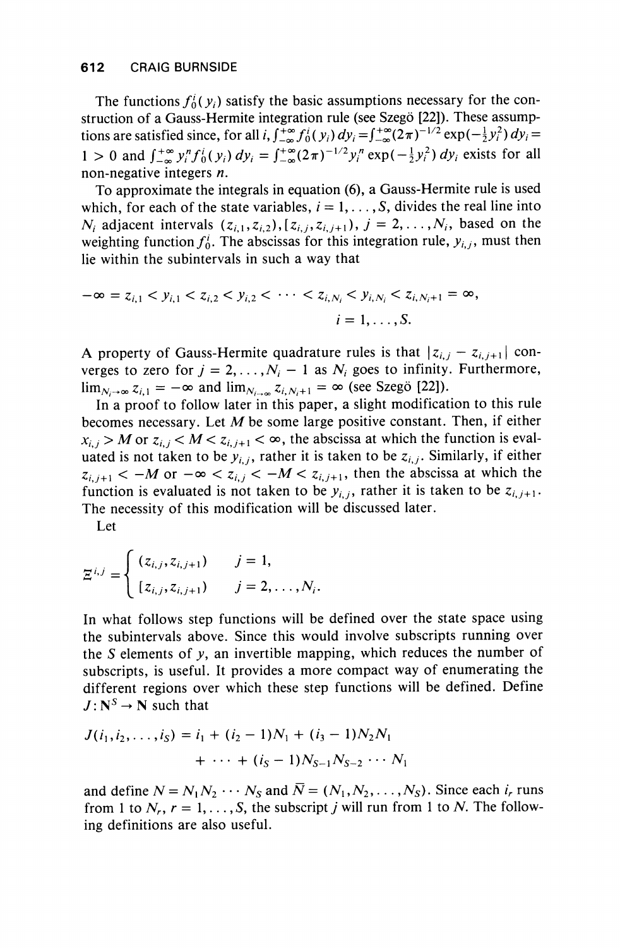The functions  $f_0^i(y_i)$  satisfy the basic assumptions necessary for the con**struction of a Gauss-Hermite integration rule (see Szego [22]). These assumptions are satisfied since, for all i,**  $\int_{-\infty}^{+\infty} f_0^i(y_i) dy_i = \int_{-\infty}^{+\infty} (2\pi)^{-1/2} \exp(-\frac{1}{2}y_i^2) dy_i =$  $1 > 0$  and  $\int_{-\infty}^{+\infty} y_i^n f_0^i(y_i) dy_i = \int_{-\infty}^{+\infty} (2\pi)^{-1/2} y_i^n \exp(-\frac{1}{2}y_i^2) dy_i$  exists for all **non-negative integers n.** 

**To approximate the integrals in equation (6), a Gauss-Hermite rule is used**  which, for each of the state variables,  $i = 1, \ldots, S$ , divides the real line into  $N_i$  adjacent intervals  $(z_{i,1}, z_{i,2}), [z_{i,j}, z_{i,j+1}), j = 2, ..., N_i$ , based on the weighting function  $f_0^i$ . The abscissas for this integration rule,  $y_{i,j}$ , must then **lie within the subintervals in such a way that** 

$$
-\infty = z_{i,1} < y_{i,1} < z_{i,2} < y_{i,2} < \cdots < z_{i,N_i} < y_{i,N_i} < z_{i,N_i+1} = \infty, \\
 i = 1, \ldots, S.
$$

**A** property of Gauss-Hermite quadrature rules is that  $|z_{i,j} - z_{i,j+1}|$  converges to zero for  $j = 2, ..., N_i - 1$  as  $N_i$  goes to infinity. Furthermore,  $\lim_{N_i \to \infty} z_{i,1} = -\infty$  and  $\lim_{N_i \to \infty} z_{i,N_i+1} = \infty$  (see Szegö [22]).

**In a proof to follow later in this paper, a slight modification to this rule becomes necessary. Let M be some large positive constant. Then, if either**   $x_{i,j} > M$  or  $z_{i,j} < M < z_{i,j+1} < \infty$ , the abscissa at which the function is evaluated is not taken to be  $y_{i,j}$ , rather it is taken to be  $z_{i,j}$ . Similarly, if either  $z_{i,j+1} < -M$  or  $-\infty < z_{i,j} < -M < z_{i,j+1}$ , then the abscissa at which the function is evaluated is not taken to be  $y_{i,j}$ , rather it is taken to be  $z_{i,j+1}$ . **The necessity of this modification will be discussed later.** 

**Let** 

$$
\Xi^{i,j} = \begin{cases} (z_{i,j}, z_{i,j+1}) & j = 1, \\ [z_{i,j}, z_{i,j+1}) & j = 2, ..., N_i. \end{cases}
$$

**In what follows step functions will be defined over the state space using the subintervals above. Since this would involve subscripts running over the S elements of y, an invertible mapping, which reduces the number of subscripts, is useful. It provides a more compact way of enumerating the different regions over which these step functions will be defined. Define**   $J: \mathbb{N}^S \to \mathbb{N}$  such that

$$
J(i_1, i_2, \dots, i_S) = i_1 + (i_2 - 1)N_1 + (i_3 - 1)N_2N_1
$$
  
+ ... +  $(i_5 - 1)N_{5-1}N_{5-2} \cdots N_1$ 

and define  $N = N_1 N_2 \cdots N_S$  and  $\overline{N} = (N_1, N_2, \ldots, N_S)$ . Since each  $i_r$  runs from 1 to  $N_r$ ,  $r = 1, \ldots, S$ , the subscript j will run from 1 to N. The follow**ing definitions are also useful.**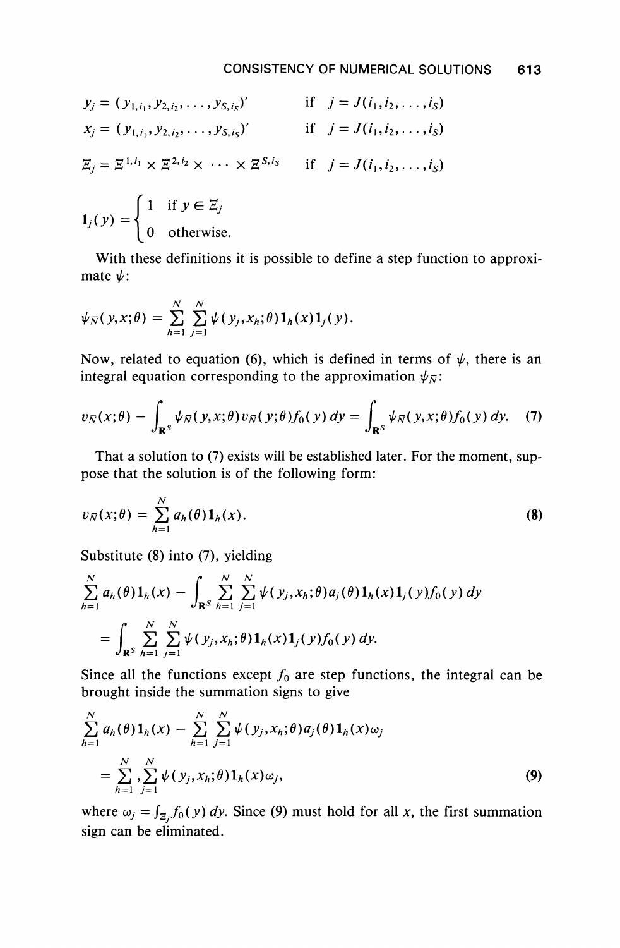$$
y_j = (y_{1,i_1}, y_{2,i_2}, \dots, y_{S,i_S})' \text{ if } j = J(i_1, i_2, \dots, i_S)
$$
  
\n
$$
x_j = (y_{1,i_1}, y_{2,i_2}, \dots, y_{S,i_S})' \text{ if } j = J(i_1, i_2, \dots, i_S)
$$
  
\n
$$
\Xi_j = \Xi^{1,i_1} \times \Xi^{2,i_2} \times \dots \times \Xi^{S,i_S} \text{ if } j = J(i_1, i_2, \dots, i_S)
$$
  
\n
$$
\mathbf{1}_j(y) = \begin{cases} 1 & \text{if } y \in \Xi_j \\ 0 & \text{otherwise.} \end{cases}
$$

**With these definitions it is possible to define a step function to approximate**  $\psi$ :

$$
\psi_{\overline{N}}(y,x;\theta) = \sum_{h=1}^N \sum_{j=1}^N \psi(y_j,x_h;\theta) \mathbf{1}_h(x) \mathbf{1}_j(y).
$$

Now, related to equation (6), which is defined in terms of  $\psi$ , there is an integral equation corresponding to the approximation  $\psi_{\overline{N}}$ :

$$
v_{\overline{N}}(x;\theta) - \int_{\mathbf{R}^S} \psi_{\overline{N}}(y,x;\theta) v_{\overline{N}}(y;\theta) f_0(y) dy = \int_{\mathbf{R}^S} \psi_{\overline{N}}(y,x;\theta) f_0(y) dy.
$$
 (7)

**That a solution to (7) exists will be established later. For the moment, suppose that the solution is of the following form:** 

$$
v_{\overline{N}}(x;\theta) = \sum_{h=1}^{N} a_h(\theta) \mathbf{1}_h(x).
$$
 (8)

**Substitute (8) into (7), yielding** 

$$
\sum_{h=1}^{N} a_h(\theta) \mathbf{1}_h(x) - \int_{\mathbf{R}^S} \sum_{h=1}^{N} \sum_{j=1}^{N} \psi(y_j, x_h; \theta) a_j(\theta) \mathbf{1}_h(x) \mathbf{1}_j(y) f_0(y) dy
$$
  
= 
$$
\int_{\mathbf{R}^S} \sum_{h=1}^{N} \sum_{j=1}^{N} \psi(y_j, x_h; \theta) \mathbf{1}_h(x) \mathbf{1}_j(y) f_0(y) dy.
$$

Since all the functions except  $f_0$  are step functions, the integral can be **brought inside the summation signs to give** 

$$
\sum_{h=1}^{N} a_h(\theta) \mathbf{1}_h(x) - \sum_{h=1}^{N} \sum_{j=1}^{N} \psi(y_j, x_h; \theta) a_j(\theta) \mathbf{1}_h(x) \omega_j
$$
  
= 
$$
\sum_{h=1}^{N} \sum_{j=1}^{N} \psi(y_j, x_h; \theta) \mathbf{1}_h(x) \omega_j,
$$
 (9)

where  $\omega_j = \int_{\Xi_j} f_0(y) dy$ . Since (9) must hold for all x, the first summation **sign can be eliminated.**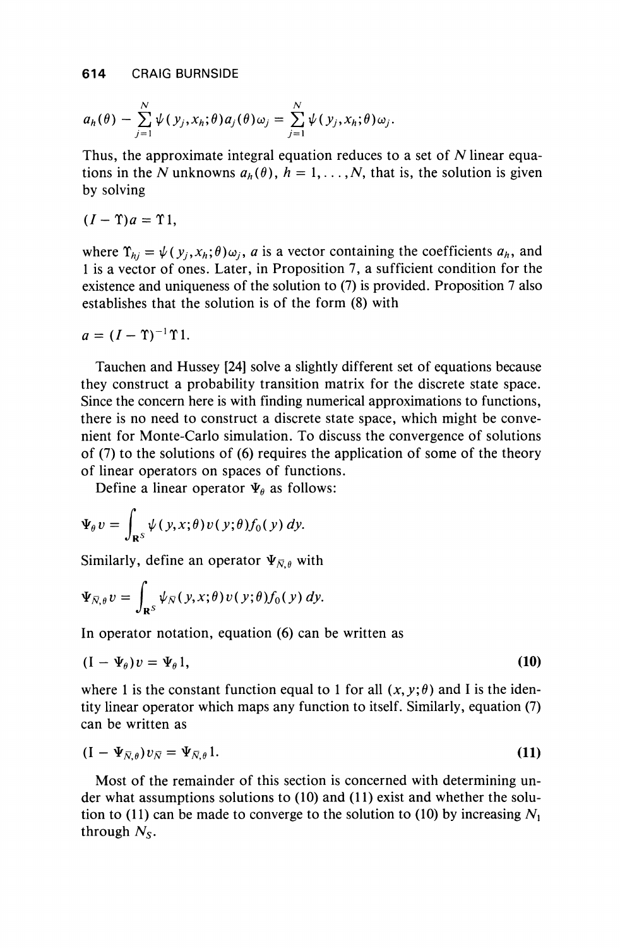$$
a_h(\theta) - \sum_{j=1}^N \psi(y_j, x_h; \theta) a_j(\theta) \omega_j = \sum_{j=1}^N \psi(y_j, x_h; \theta) \omega_j.
$$

**Thus, the approximate integral equation reduces to a set of N linear equa**tions in the N unknowns  $a_h(\theta)$ ,  $h = 1, \ldots, N$ , that is, the solution is given **by solving** 

$$
(I-\Upsilon)a=\Upsilon1,
$$

where  $\Upsilon_{hj} = \psi(y_j, x_h; \theta) \omega_j$ , *a* is a vector containing the coefficients  $a_h$ , and **1 is a vector of ones. Later, in Proposition 7, a sufficient condition for the existence and uniqueness of the solution to (7) is provided. Proposition 7 also establishes that the solution is of the form (8) with** 

$$
a=(I-\Upsilon)^{-1}\Upsilon 1.
$$

**Tauchen and Hussey [24] solve a slightly different set of equations because they construct a probability transition matrix for the discrete state space. Since the concern here is with finding numerical approximations to functions, there is no need to construct a discrete state space, which might be convenient for Monte-Carlo simulation. To discuss the convergence of solutions of (7) to the solutions of (6) requires the application of some of the theory of linear operators on spaces of functions.** 

Define a linear operator  $\Psi_{\theta}$  as follows:

$$
\Psi_{\theta} v = \int_{\mathbf{R}^S} \psi(y, x; \theta) v(y; \theta) f_0(y) dy.
$$

Similarly, define an operator  $\Psi_{\bar{N},\theta}$  with

$$
\Psi_{\overline{N},\theta}v=\int_{\mathbf{R}^S}\psi_{\overline{N}}(\overline{y},x;\theta)v(\overline{y};\theta)f_0(\overline{y})\,dy.
$$

**In operator notation, equation (6) can be written as** 

$$
(\mathbf{I} - \Psi_{\theta})v = \Psi_{\theta} \mathbf{1},\tag{10}
$$

where 1 is the constant function equal to 1 for all  $(x, y; \theta)$  and I is the iden**tity linear operator which maps any function to itself. Similarly, equation (7) can be written as** 

$$
(I - \Psi_{\overline{N},\theta})v_{\overline{N}} = \Psi_{\overline{N},\theta}1. \tag{11}
$$

**Most of the remainder of this section is concerned with determining under what assumptions solutions to (10) and (11) exist and whether the solu**tion to (11) can be made to converge to the solution to (10) by increasing  $N_1$ through  $N<sub>S</sub>$ .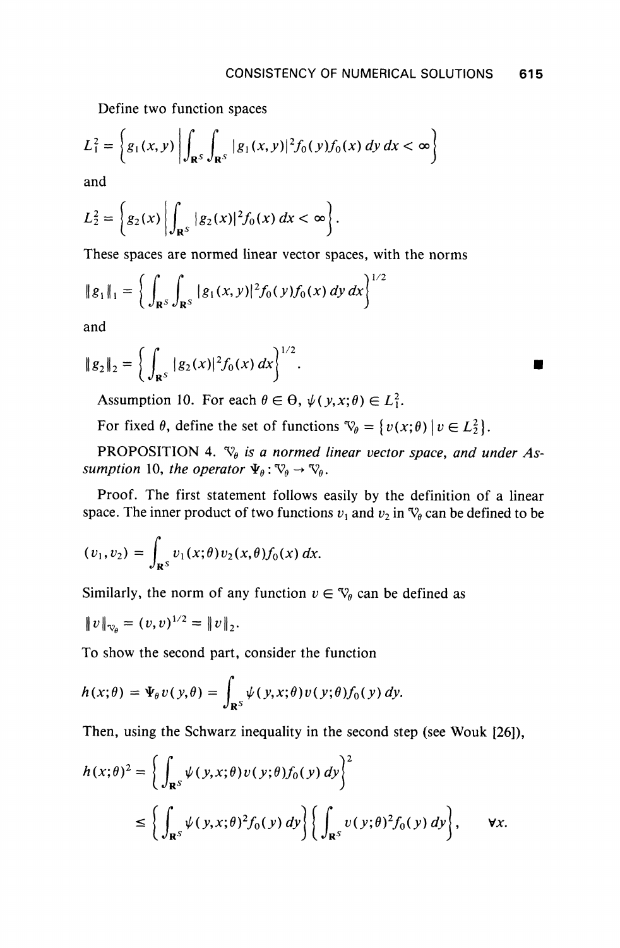n

**Define two function spaces** 

$$
L_1^2 = \left\{ g_1(x, y) \left| \int_{\mathbf{R}^S} \int_{\mathbf{R}^S} |g_1(x, y)|^2 f_0(y) f_0(x) \, dy \, dx < \infty \right\} \right\}
$$

**and** 

$$
L_2^2 = \left\{ g_2(x) \left| \int_{\mathbf{R}^S} |g_2(x)|^2 f_0(x) \, dx < \infty \right. \right\}.
$$

**These spaces are normed linear vector spaces, with the norms** 

$$
\|g_1\|_1 = \left\{ \int_{\mathbf{R}^S} \int_{\mathbf{R}^S} |g_1(x, y)|^2 f_0(y) f_0(x) \, dy \, dx \right\}^{1/2}
$$

**and** 

$$
\|g_2\|_2 = \left\{ \int_{\mathbf{R}^S} |g_2(x)|^2 f_0(x) \, dx \right\}^{1/2}.
$$

Assumption 10. For each  $\theta \in \Theta$ ,  $\psi(y, x; \theta) \in L^2$ .

For fixed  $\theta$ , define the set of functions  $\mathbb{V}_{\theta} = \{v(x; \theta) | v \in L_2^2\}.$ 

**PROPOSITION 4.**  $\mathbb{V}_{\theta}$  is a normed linear vector space, and under As**sumption 10, the operator**  $\Psi_{\theta} : \mathbb{V}_{\theta} \to \mathbb{V}_{\theta}$ **.** 

**Proof. The first statement follows easily by the definition of a linear**  space. The inner product of two functions  $v_1$  and  $v_2$  in  $\nabla_\theta$  can be defined to be

$$
(v_1, v_2) = \int_{\mathbf{R}^S} v_1(x; \theta) v_2(x, \theta) f_0(x) dx.
$$

Similarly, the norm of any function  $v \in \mathcal{V}_{\theta}$  can be defined as

$$
||v||_{\mathbb{V}_{\theta}}=(v,v)^{1/2}=\||v||_{2}.
$$

**To show the second part, consider the function** 

$$
h(x;\theta) = \Psi_{\theta} v(y,\theta) = \int_{\mathbf{R}^S} \psi(y,x;\theta) v(y;\theta) f_0(y) dy.
$$

**Then, using the Schwarz inequality in the second step (see Wouk [26]),** 

$$
h(x; \theta)^2 = \left\{ \int_{\mathbf{R}^S} \psi(y, x; \theta) v(y; \theta) f_0(y) dy \right\}^2
$$
  
 
$$
\leq \left\{ \int_{\mathbf{R}^S} \psi(y, x; \theta)^2 f_0(y) dy \right\} \left\{ \int_{\mathbf{R}^S} v(y; \theta)^2 f_0(y) dy \right\}, \quad \forall x.
$$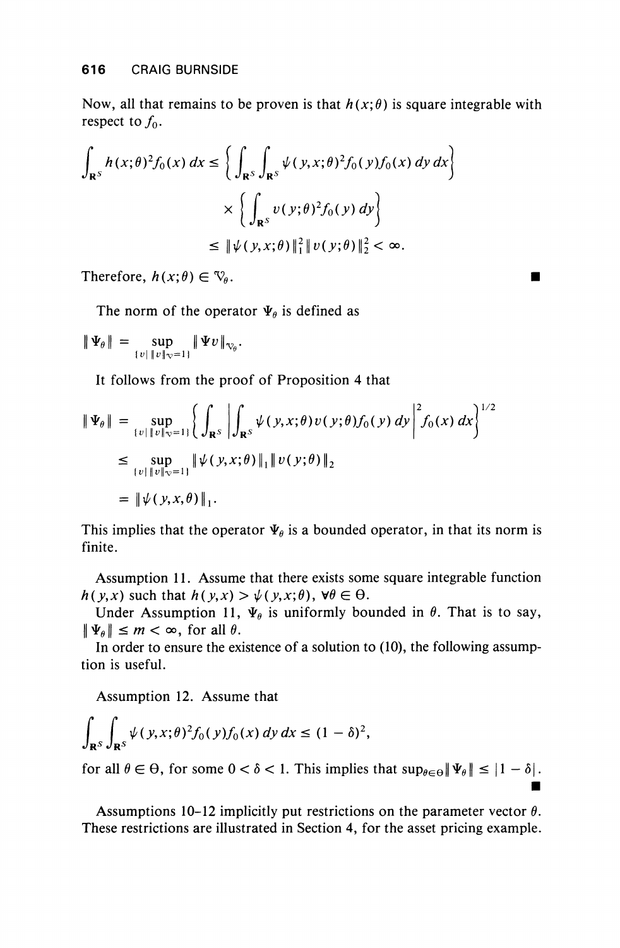Now, all that remains to be proven is that  $h(x; \theta)$  is square integrable with **respect** to  $f_0$ .

 $\blacksquare$ 

$$
\int_{\mathbf{R}^S} h(x;\theta)^2 f_0(x) dx \le \left\{ \int_{\mathbf{R}^S} \int_{\mathbf{R}^S} \psi(y,x;\theta)^2 f_0(y) f_0(x) dy dx \right\}
$$

$$
\times \left\{ \int_{\mathbf{R}^S} v(y;\theta)^2 f_0(y) dy \right\}
$$

$$
\leq \|\psi(y,x;\theta)\|_1^2 \|v(y;\theta)\|_2^2 < \infty.
$$

Therefore,  $h(x; \theta) \in \mathbb{V}_{\theta}$ .

The norm of the operator  $\Psi_{\theta}$  is defined as

$$
\|\Psi_{\theta}\| = \sup_{\{v \,|\, \|v\|_{\nabla} = 1\}} \|\Psi v\|_{\nabla_{\theta}}.
$$

**It follows from the proof of Proposition 4 that** 

$$
\begin{aligned} \|\Psi_{\theta}\| &= \sup_{\{v\,|\,\|v\|_{\infty}=1\}} \left\{ \int_{\mathbf{R}^{S}} \left| \int_{\mathbf{R}^{S}} \psi(y,x;\theta)v(y;\theta)f_{0}(y) \, dy \right|^{2} f_{0}(x) \, dx \right\}^{1/2} \\ &\leq \sup_{\{v\,|\,\|v\|_{\infty}=1\}} \|\psi(y,x;\theta)\|_{1} \|v(y;\theta)\|_{2} \\ &= \|\psi(y,x,\theta)\|_{1}. \end{aligned}
$$

This implies that the operator  $\Psi_{\theta}$  is a bounded operator, in that its norm is **finite.** 

**Assumption 11. Assume that there exists some square integrable function**   $h(y, x)$  such that  $h(y, x) > \psi(y, x; \theta)$ ,  $\forall \theta \in \Theta$ .

Under Assumption 11,  $\Psi_{\theta}$  is uniformly bounded in  $\theta$ . That is to say,  $\|\Psi_{\theta}\| \leq m < \infty$ , for all  $\theta$ .

**In order to ensure the existence of a solution to (10), the following assumption is useful.** 

**Assumption 12. Assume that** 

$$
\int_{\mathbf{R}^S}\int_{\mathbf{R}^S}\psi(y,x;\theta)^2f_0(y)f_0(x)\,dy\,dx\leq (1-\delta)^2,
$$

for all  $\theta \in \Theta$ , for some  $0 < \delta < 1$ . This implies that  $\sup_{\theta \in \Theta} \|\Psi_{\theta}\| \leq |1 - \delta|$ .

Assumptions 10-12 implicitly put restrictions on the parameter vector  $\theta$ . **These restrictions are illustrated in Section 4, for the asset pricing example.**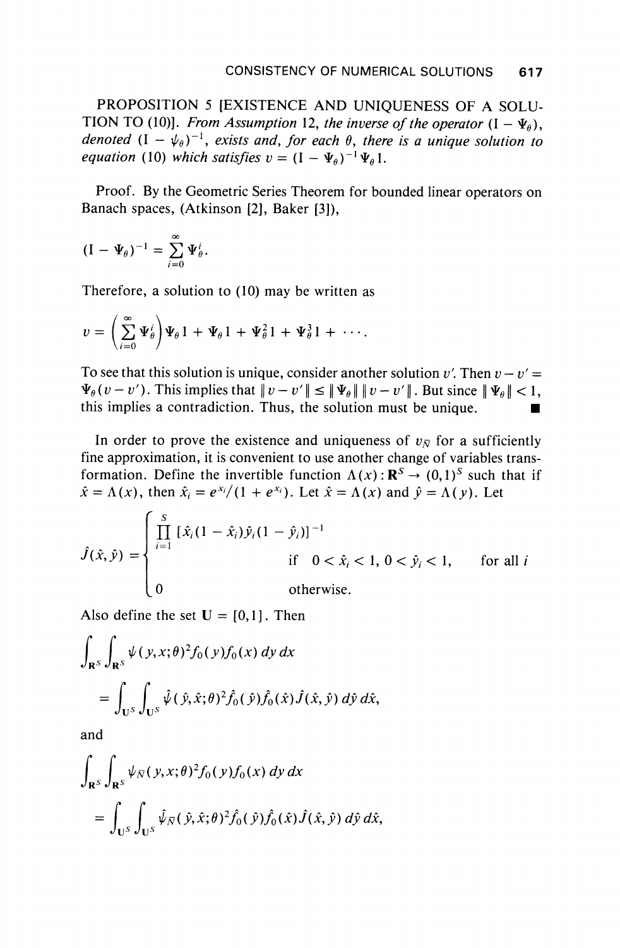**PROPOSITION 5 [EXISTENCE AND UNIQUENESS OF A SOLU-TION TO (10)].** From Assumption 12, the inverse of the operator  $(I - \Psi_{\theta})$ , denoted  $(I - \psi_{\theta})^{-1}$ , exists and, for each  $\theta$ , there is a unique solution to *equation* (10) which satisfies  $v = (I - \Psi_{\theta})^{-1} \Psi_{\theta}$ 1.

**Proof. By the Geometric Series Theorem for bounded linear operators on Banach spaces, (Atkinson [2], Baker [3]),** 

$$
(\mathbf{I} - \Psi_{\theta})^{-1} = \sum_{i=0}^{\infty} \Psi_{\theta}^{i}.
$$

**Therefore, a solution to (10) may be written as** 

$$
v = \left(\sum_{i=0}^{\infty} \Psi_{\theta}^{i}\right) \Psi_{\theta} 1 + \Psi_{\theta} 1 + \Psi_{\theta}^{2} 1 + \Psi_{\theta}^{3} 1 + \cdots
$$

To see that this solution is unique, consider another solution  $v'$ . Then  $v - v' =$  $\Psi_{\theta}(v-v')$ . This implies that  $||v-v'|| \le ||\Psi_{\theta}|| ||v-v'||$ . But since  $||\Psi_{\theta}|| < 1$ , **this implies a contradiction. Thus, the solution must be unique. 0** 

In order to prove the existence and uniqueness of  $v_{\bar{N}}$  for a sufficiently **fine approximation, it is convenient to use another change of variables trans**formation. Define the invertible function  $\Lambda(x)$ :  $\mathbb{R}^s \to (0,1)^s$  such that if  $\hat{x} = \Lambda(x)$ , then  $\hat{x}_i = e^{x_i}/(1 + e^{x_i})$ . Let  $\hat{x} = \Lambda(x)$  and  $\hat{y} = \Lambda(y)$ . Let

$$
\hat{J}(\hat{x}, \hat{y}) = \begin{cases} \prod_{i=1}^{S} [\hat{x}_i(1 - \hat{x}_i)\hat{y}_i(1 - \hat{y}_i)]^{-1} & \text{if } 0 < \hat{x}_i < 1, 0 < \hat{y}_i < 1, \text{ for all } i \\ 0 & \text{otherwise.} \end{cases}
$$

Also define the set  $U = [0,1]$ . Then

$$
\int_{\mathbf{R}^S} \int_{\mathbf{R}^S} \psi(y, x; \theta)^2 f_0(y) f_0(x) dy dx
$$
  
= 
$$
\int_{\mathbf{U}^S} \int_{\mathbf{U}^S} \hat{\psi}(\hat{y}, \hat{x}; \theta)^2 \hat{f}_0(\hat{y}) \hat{f}_0(\hat{x}) \hat{J}(\hat{x}, \hat{y}) d\hat{y} d\hat{x},
$$

**and** 

$$
\int_{\mathbf{R}^S} \int_{\mathbf{R}^S} \psi_{\overline{N}}(y, x; \theta)^2 f_0(y) f_0(x) dy dx
$$
  
= 
$$
\int_{\mathbf{U}^S} \int_{\mathbf{U}^S} \hat{\psi}_{\overline{N}}(\hat{y}, \hat{x}; \theta)^2 \hat{f}_0(\hat{y}) \hat{f}_0(\hat{x}) \hat{J}(\hat{x}, \hat{y}) d\hat{y} d\hat{x},
$$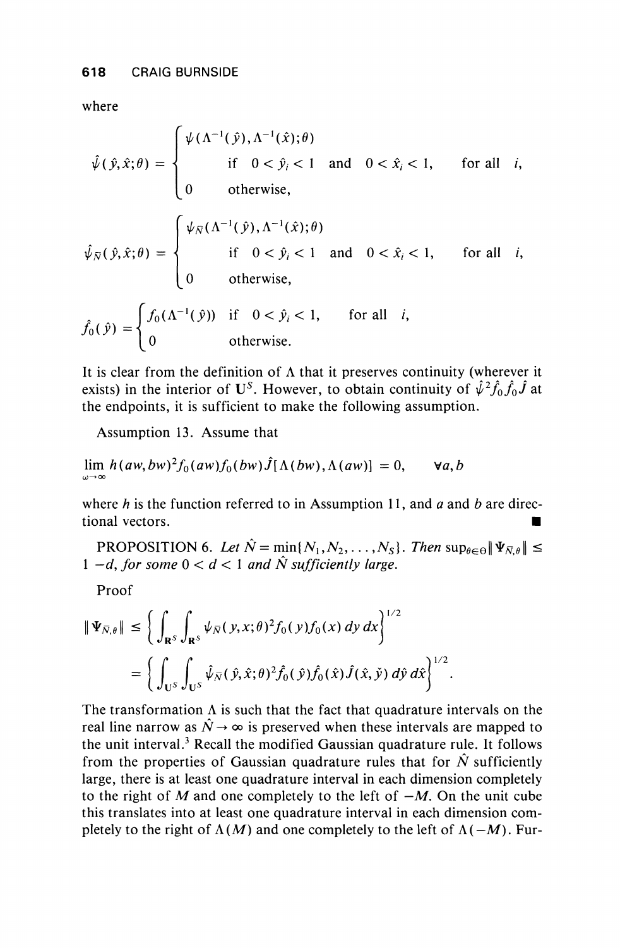**where** 

$$
\hat{\psi}(\hat{y}, \hat{x}; \theta) = \begin{cases}\n\psi(\Lambda^{-1}(\hat{y}), \Lambda^{-1}(\hat{x}); \theta) \\
\text{if } 0 < \hat{y}_i < 1 \text{ and } 0 < \hat{x}_i < 1, \text{ for all } i, \\
0 & \text{otherwise,} \n\end{cases}
$$
\n
$$
\hat{\psi}_{\bar{N}}(\hat{y}, \hat{x}; \theta) = \begin{cases}\n\psi_{\bar{N}}(\Lambda^{-1}(\hat{y}), \Lambda^{-1}(\hat{x}); \theta) \\
\text{if } 0 < \hat{y}_i < 1 \text{ and } 0 < \hat{x}_i < 1, \text{ for all } i, \\
0 & \text{otherwise,} \n\end{cases}
$$
\n
$$
\hat{f}_0(\hat{y}) = \begin{cases}\nf_0(\Lambda^{-1}(\hat{y})) & \text{if } 0 < \hat{y}_i < 1, \text{ for all } i, \\
0 & \text{otherwise.}\n\end{cases}
$$

It is clear from the definition of  $\Lambda$  that it preserves continuity (wherever it exists) in the interior of  $\mathbf{U}^{S}$ . However, to obtain continuity of  $\hat{\psi}^{2} \hat{f}_{0} \hat{f}_{0} \hat{f}$  at **the endpoints, it is sufficient to make the following assumption.** 

**Assumption 13. Assume that** 

$$
\lim_{\omega \to \infty} h(aw, bw)^2 f_0(aw) f_0(bw) \hat{J}[\Lambda(bw), \Lambda(aw)] = 0, \quad \forall a, b
$$

where *h* is the function referred to in Assumption 11, and *a* and *b* are directional vectors.

**PROPOSITION 6.** Let  $\hat{N} = \min\{N_1, N_2, \ldots, N_S\}$ . Then  $\sup_{\theta \in \Theta} \|\Psi_{\overline{N}, \theta}\| \leq$ 1  $-d$ , for some  $0 < d < 1$  and  $\hat{N}$  sufficiently large.

**Proof** 

$$
\begin{split} \|\Psi_{\bar{N},\theta}\| &\leq \bigg\{\int_{\mathbf{R}^S}\int_{\mathbf{R}^S}\psi_{\bar{N}}(\,y,x;\theta)^2f_0(\,y)f_0(x)\,dy\,dx\bigg\}^{1/2} \\ &= \bigg\{\int_{\mathbf{U}^S}\int_{\mathbf{U}^S}\hat{\psi}_{\bar{N}}(\,\hat{y},\hat{x};\theta)^2\hat{f}_0(\,\hat{y})\hat{f}_0(\,\hat{x})\,\hat{J}(\,\hat{x},\,\check{y})\,d\hat{y}\,d\hat{x}\bigg\}^{1/2}.\end{split}
$$

The transformation  $\Lambda$  is such that the fact that quadrature intervals on the real line narrow as  $\hat{N} \rightarrow \infty$  is preserved when these intervals are mapped to **the unit interval.3 Recall the modified Gaussian quadrature rule. It follows**  from the properties of Gaussian quadrature rules that for  $\hat{N}$  sufficiently **large, there is at least one quadrature interval in each dimension completely**  to the right of  $M$  and one completely to the left of  $-M$ . On the unit cube **this translates into at least one quadrature interval in each dimension com**pletely to the right of  $\Lambda(M)$  and one completely to the left of  $\Lambda(-M)$ . Fur-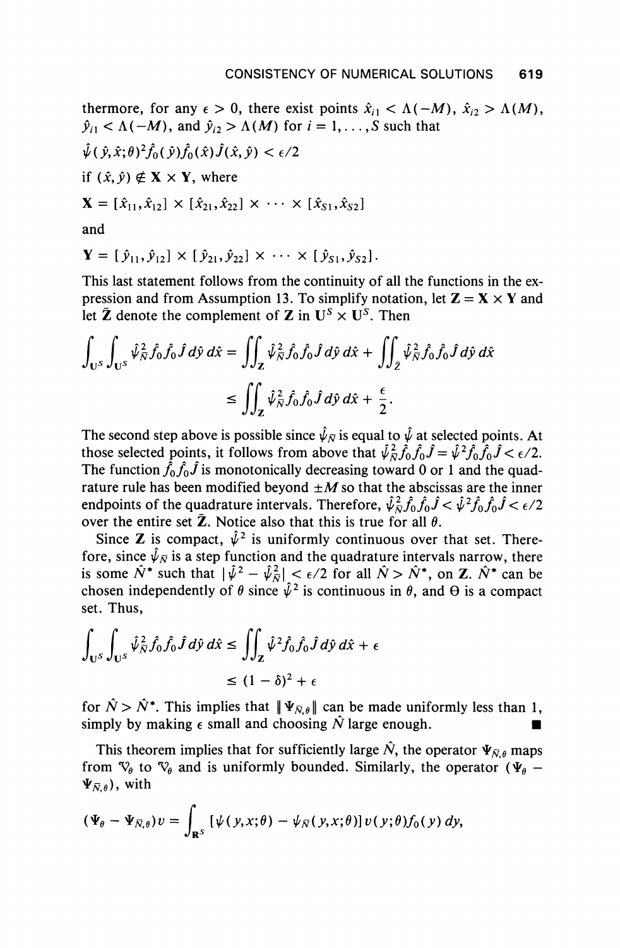thermore, for any ε > 0, there exist points 
$$
\hat{x}_{i1} < \Lambda(-M)
$$
,  $\hat{x}_{i2} > \Lambda(M)$ ,  $\hat{y}_{i1} < \Lambda(-M)$ , and  $\hat{y}_{i2} > \Lambda(M)$  for  $i = 1, \ldots, S$  such that  $\hat{\psi}(\hat{y}, \hat{x}; \theta)^2 \hat{f}_0(\hat{y}) \hat{f}_0(\hat{x}) \hat{f}(\hat{x}, \hat{y}) < \epsilon/2$  if  $(\hat{x}, \hat{y}) \notin \mathbf{X} \times \mathbf{Y}$ , where  $\mathbf{X} = [\hat{x}_{11}, \hat{x}_{12}] \times [\hat{x}_{21}, \hat{x}_{22}] \times \cdots \times [\hat{x}_{S1}, \hat{x}_{S2}]$  and

$$
\mathbf{Y} = [\hat{y}_{11}, \hat{y}_{12}] \times [\hat{y}_{21}, \hat{y}_{22}] \times \cdots \times [\hat{y}_{S1}, \hat{y}_{S2}].
$$

**This last statement follows from the continuity of all the functions in the expression and from Assumption 13. To simplify notation, let**  $\mathbf{Z} = \mathbf{X} \times \mathbf{Y}$  **and** let  $\bar{Z}$  denote the complement of  $Z$  in  $U^S \times U^S$ . Then

$$
\int_{U^S} \int_{U^S} \hat{\psi}_N^2 \hat{f}_0 \hat{f}_0 \hat{f} d\hat{y} d\hat{x} = \iint_Z \hat{\psi}_N^2 \hat{f}_0 \hat{f}_0 \hat{f} d\hat{y} d\hat{x} + \iint_{\bar{Z}} \hat{\psi}_N^2 \hat{f}_0 \hat{f}_0 \hat{f} d\hat{y} d\hat{x}
$$
  

$$
\leq \iint_Z \hat{\psi}_N^2 \hat{f}_0 \hat{f}_0 \hat{f} d\hat{y} d\hat{x} + \frac{\epsilon}{2}.
$$

The second step above is possible since  $\hat{\psi}_{\overline{N}}$  is equal to  $\hat{\psi}$  at selected points. At **those selected points, it follows from above that**  $\hat{\psi}_{\bar{N}}^2 \hat{f}_0 \hat{f}_0 \hat{f} = \hat{\psi}^2 \hat{f}_0 \hat{f}_0 \hat{f} < \epsilon/2$ **.** The function  $\hat{f}_0 \hat{f}_0 \hat{J}$  is monotonically decreasing toward 0 or 1 and the quadrature rule has been modified beyond  $\pm M$  so that the abscissas are the inner **endpoints of the quadrature intervals. Therefore,**  $\psi_N^2 f_0 f_0 J \langle \psi^2 f_0 f_0 J \langle \epsilon \rangle / 2$ over the entire set  $\overline{z}$ . Notice also that this is true for all  $\theta$ .

Since **Z** is compact,  $\hat{\psi}^2$  is uniformly continuous over that set. Therefore, since  $\hat{\psi}_{\bar{N}}$  is a step function and the quadrature intervals narrow, there is some  $\hat{N}^*$  such that  $|\hat{\psi}^2 - \hat{\psi}^2_{\bar{N}}| \le \epsilon/2$  for all  $\hat{N} > \hat{N}^*$ , on **Z**.  $\hat{N}^*$  can be chosen independently of  $\theta$  since  $\hat{\psi}^2$  is continuous in  $\theta$ , and  $\theta$  is a compact **set. Thus,** 

$$
\int_{\mathbf{U}^S} \int_{\mathbf{U}^S} \hat{\psi}_N^2 \hat{f}_0 \hat{f}_0 \hat{f} d\hat{y} d\hat{x} \le \iint_{\mathbf{Z}} \hat{\psi}^2 \hat{f}_0 \hat{f}_0 \hat{f} d\hat{y} d\hat{x} + \epsilon
$$
  

$$
\le (1 - \delta)^2 + \epsilon
$$

for  $\hat{N} > \hat{N}^*$ . This implies that  $\|\Psi_{\bar{N},\theta}\|$  can be made uniformly less than 1, simply by making  $\epsilon$  small and choosing  $\hat{N}$  large enough.

This theorem implies that for sufficiently large  $\hat{N}$ , the operator  $\Psi_{\bar{N},\theta}$  maps from  $\nabla_{\theta}$  to  $\nabla_{\theta}$  and is uniformly bounded. Similarly, the operator ( $\Psi_{\theta}$  –  $\Psi_{\bar{N},\theta}$ , with

$$
(\Psi_{\theta}-\Psi_{\bar{N},\theta})v=\int_{\mathbf{R}^S}[\psi(y,x;\theta)-\psi_{\bar{N}}(y,x;\theta)]v(y;\theta)f_0(y)\,dy,
$$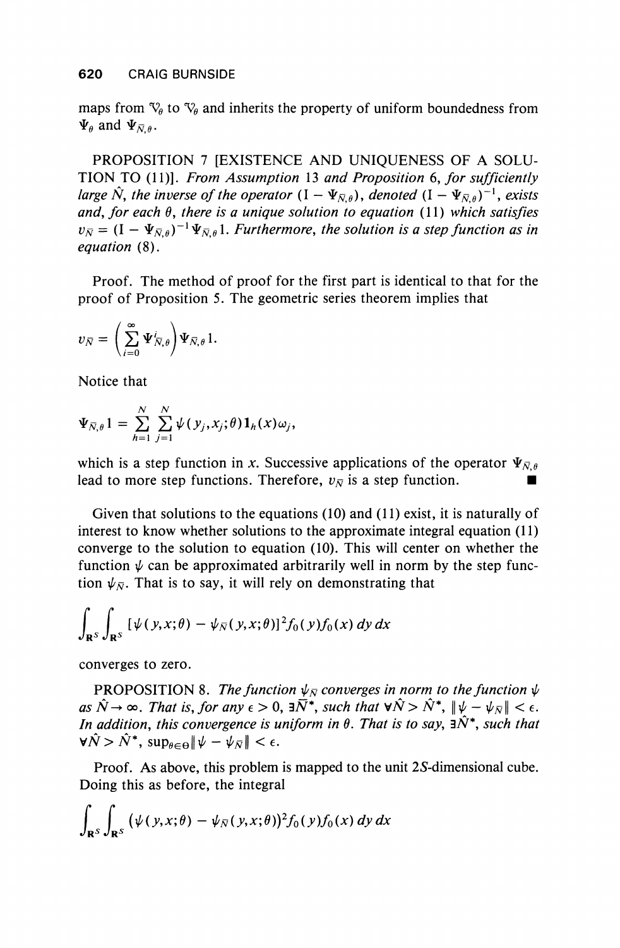maps from  $\nabla_{\theta}$  to  $\nabla_{\theta}$  and inherits the property of uniform boundedness from  $\Psi_{\theta}$  and  $\Psi_{\overline{N},\theta}$ .

**PROPOSITION 7 [EXISTENCE AND UNIQUENESS OF A SOLU-TION TO (11)]. From Assumption 13 and Proposition 6, for sufficiently large**  $\hat{N}$ , the inverse of the operator  $(I - \Psi_{\bar{N},\theta})$ , denoted  $(I - \Psi_{\bar{N},\theta})^{-1}$ , exists **and, for each 0, there is a unique solution to equation (11) which satisfies**   $v_{\overline{N}} = (I - \Psi_{\overline{N}, \theta})^{-1} \Psi_{\overline{N}, \theta}$ 1. Furthermore, the solution is a step function as in **equation (8).** 

**Proof. The method of proof for the first part is identical to that for the proof of Proposition 5. The geometric series theorem implies that** 

$$
v_{\bar{N}} = \left(\sum_{i=0}^{\infty} \Psi_{\bar{N},\theta}^{i}\right) \Psi_{\bar{N},\theta} 1.
$$

**Notice that** 

$$
\Psi_{\overline{N},\theta}1=\sum_{h=1}^N\sum_{j=1}^N\psi(y_j,x_j;\theta)1_h(x)\omega_j,
$$

which is a step function in x. Successive applications of the operator  $\Psi_{\bar{N},\theta}$ **lead to more step functions. Therefore,**  $v_{\overline{N}}$  **is a step function.** 

**Given that solutions to the equations (10) and (11) exist, it is naturally of interest to know whether solutions to the approximate integral equation (11) converge to the solution to equation (10). This will center on whether the**  function  $\psi$  can be approximated arbitrarily well in norm by the step function  $\psi_{\overline{N}}$ . That is to say, it will rely on demonstrating that

$$
\int_{\mathbf{R}^S}\int_{\mathbf{R}^S} \left[\psi(y,x;\theta)-\psi_{\bar{N}}(y,x;\theta)\right]^2 f_0(y)f_0(x)\,dy\,dx
$$

**converges to zero.** 

**PROPOSITION 8. The function**  $\psi_{\overline{N}}$  **converges in norm to the function**  $\psi$  $\mathbf{a} \times \mathbf{b} \to \infty$ . That is, for any  $\epsilon > 0$ ,  $\exists \overline{N}^*$ , such that  $\forall \mathbf{N} > \mathbf{N}^*$ ,  $\|\psi - \psi_{\overline{N}}\| < \epsilon$ . In addition, this convergence is uniform in  $\theta$ . That is to say,  $3\hat{N}^*$ , such that  $\forall \hat{N} > \hat{N}^*$ ,  $\sup_{\theta \in \Theta} || \psi - \psi_{\overline{N}} || < \epsilon$ .

**Proof. As above, this problem is mapped to the unit 2S-dimensional cube. Doing this as before, the integral** 

$$
\int_{\mathbf{R}^S}\int_{\mathbf{R}^S} \big(\psi(y,x;\theta)-\psi_{\bar{N}}(y,x;\theta)\big)^2 f_0(y)f_0(x)\,dy\,dx
$$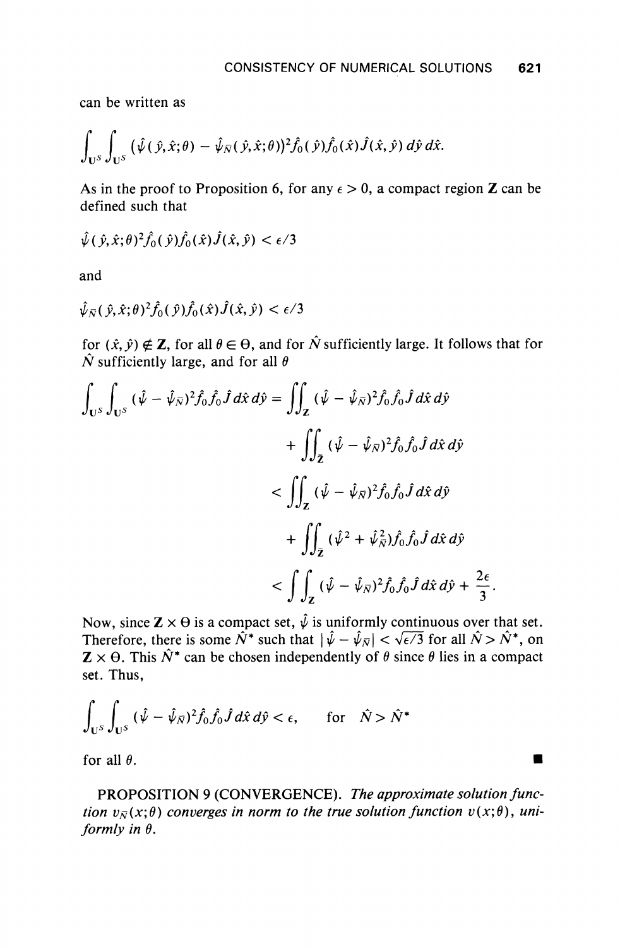**can be written as** 

$$
\int_{\mathbf{U}^S}\int_{\mathbf{U}^S} \left(\hat{\psi}(\hat{y},\hat{x};\theta)-\hat{\psi}_{\bar{N}}(\hat{y},\hat{x};\theta)\right)^2 \hat{f}_0(\hat{y})\hat{f}_0(\hat{x})\hat{J}(\hat{x},\hat{y})\,d\hat{y}\,d\hat{x}.
$$

As in the proof to Proposition 6, for any  $\epsilon > 0$ , a compact region **Z** can be **defined such that** 

$$
\hat{\psi}(\hat{y},\hat{x};\theta)^2 \hat{f}_0(\hat{y}) \hat{f}_0(\hat{x}) \hat{J}(\hat{x},\hat{y}) < \epsilon/3
$$

**and** 

$$
\hat{\psi}_{\bar{N}}(\hat{y}, \hat{x}; \theta)^2 \hat{f}_0(\hat{y}) \hat{f}_0(\hat{x}) \hat{J}(\hat{x}, \hat{y}) < \epsilon/3
$$

for  $(\hat{x}, \hat{y}) \notin \mathbb{Z}$ , for all  $\theta \in \Theta$ , and for  $\hat{N}$  sufficiently large. It follows that for  $\hat{N}$  sufficiently large, and for all  $\theta$ 

$$
\int_{U^S} \int_{U^S} (\hat{\psi} - \hat{\psi}_{\bar{N}})^2 \hat{f}_0 \hat{f}_0 \hat{f} d\hat{x} d\hat{y} = \iint_Z (\hat{\psi} - \hat{\psi}_{\bar{N}})^2 \hat{f}_0 \hat{f}_0 \hat{f} d\hat{x} d\hat{y}
$$
  
+ 
$$
\iint_{\bar{Z}} (\hat{\psi} - \hat{\psi}_{\bar{N}})^2 \hat{f}_0 \hat{f}_0 \hat{f} d\hat{x} d\hat{y}
$$
  

$$
< \iint_Z (\hat{\psi} - \hat{\psi}_{\bar{N}})^2 \hat{f}_0 \hat{f}_0 \hat{f} d\hat{x} d\hat{y}
$$
  
+ 
$$
\iint_Z (\hat{\psi}^2 + \hat{\psi}_{\bar{N}}^2) \hat{f}_0 \hat{f}_0 \hat{f} d\hat{x} d\hat{y}
$$
  

$$
< \iint_Z (\hat{\psi} - \hat{\psi}_{\bar{N}})^2 \hat{f}_0 \hat{f}_0 \hat{f} d\hat{x} d\hat{y} + \frac{2\epsilon}{3}.
$$

Now, since  $\mathbb{Z} \times \Theta$  is a compact set,  $\hat{\psi}$  is uniformly continuous over that set. Therefore, there is some  $\hat{N}^*$  such that  $|\hat{\psi} - \hat{\psi}_{\bar{N}}| < \sqrt{\epsilon/3}$  for all  $\hat{N} > \hat{N}^*$ , on  $\mathbb{Z} \times \Theta$ . This  $\hat{N}^*$  can be chosen independently of  $\theta$  since  $\theta$  lies in a compact **set. Thus,** 

$$
\int_{U^S} \int_{U^S} (\hat{\psi} - \hat{\psi}_{\bar{N}})^2 \hat{f}_0 \hat{f}_0 \hat{J} d\hat{x} d\hat{y} < \epsilon, \quad \text{for} \quad \hat{N} > \hat{N}^*
$$

for all  $\theta$ .

**PROPOSITION 9 (CONVERGENCE). The approximate solution func***tion*  $v_{\overline{N}}(x;\theta)$  converges in norm to the true solution function  $v(x;\theta)$ , uni*formly in*  $\theta$ *.*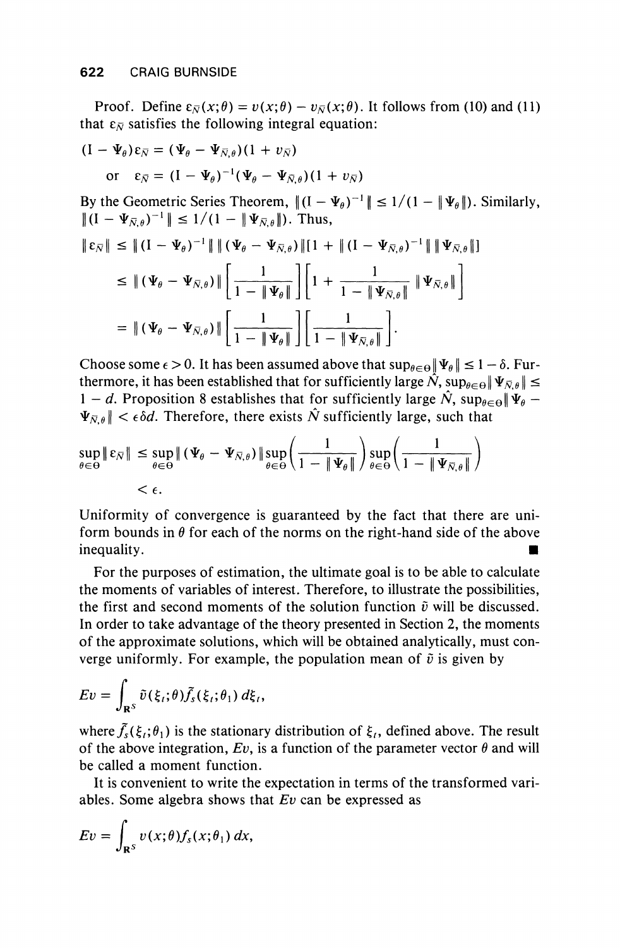**Proof.** Define  $\varepsilon_{\overline{N}}(x;\theta) = v(x;\theta) - v_{\overline{N}}(x;\theta)$ . It follows from (10) and (11) that  $\epsilon_{\bar{N}}$  satisfies the following integral equation:

$$
(I - \Psi_{\theta})\varepsilon_{\overline{N}} = (\Psi_{\theta} - \Psi_{\overline{N},\theta})(1 + v_{\overline{N}})
$$
  
or  $\varepsilon_{\overline{N}} = (I - \Psi_{\theta})^{-1}(\Psi_{\theta} - \Psi_{\overline{N},\theta})(1 + v_{\overline{N}})$ 

By the Geometric Series Theorem,  $\|(I - \Psi_{\theta})^{-1}\| \leq 1/(1 - \|\Psi_{\theta}\|)$ . Similarly,  $\|(I - \Psi_{\overline{N}, \theta})^{-1}\| \leq 1/(1 - \|\Psi_{\overline{N}, \theta}\|).$  Thus,

$$
\|\varepsilon_{\overline{N}}\| \leq \|(\mathbf{I} - \Psi_{\theta})^{-1}\| \|\left(\Psi_{\theta} - \Psi_{\overline{N},\theta}\right) \| [1 + \|(\mathbf{I} - \Psi_{\overline{N},\theta})^{-1}\| \|\Psi_{\overline{N},\theta}\|]
$$
  
\n
$$
\leq \|(\Psi_{\theta} - \Psi_{\overline{N},\theta})\| \left[\frac{1}{1 - \|\Psi_{\theta}\|}\right] \left[1 + \frac{1}{1 - \|\Psi_{\overline{N},\theta}\|} \|\Psi_{\overline{N},\theta}\| \right]
$$
  
\n
$$
= \|(\Psi_{\theta} - \Psi_{\overline{N},\theta})\| \left[\frac{1}{1 - \|\Psi_{\theta}\|}\right] \left[\frac{1}{1 - \|\Psi_{\overline{N},\theta}\|}\right].
$$

Choose some  $\epsilon > 0$ . It has been assumed above that  $\sup_{\theta \in \Theta} \|\Psi_{\theta}\| \leq 1 - \delta$ . Fur**thermore, it has been established that for sufficiently large**  $\hat{N}$ **,**  $\sup_{\theta \in \Theta} \|\Psi_{\bar{N},\theta}\| \leq$ **1 - d. Proposition 8 establishes that for sufficiently large**  $\hat{N}$ **, sup<sub>** $\theta \in \Theta$ **</sub>**  $\|\Psi_{\theta} - \Psi_{\theta}\|$  $\Psi_{\bar{N},\theta}$  <  $\epsilon \delta d$ . Therefore, there exists  $\hat{N}$  sufficiently large, such that

$$
\sup_{\theta \in \Theta} \|\varepsilon_{\bar{N}}\| \leq \sup_{\theta \in \Theta} \|\left(\Psi_{\theta} - \Psi_{\bar{N},\theta}\right)\| \sup_{\theta \in \Theta} \left(\frac{1}{1 - \|\Psi_{\theta}\|}\right) \sup_{\theta \in \Theta} \left(\frac{1}{1 - \|\Psi_{\bar{N},\theta}\|}\right) < \epsilon.
$$

**Uniformity of convergence is guaranteed by the fact that there are uni**form bounds in  $\theta$  for each of the norms on the right-hand side of the above **i i i** *<b>d* 

**For the purposes of estimation, the ultimate goal is to be able to calculate the moments of variables of interest. Therefore, to illustrate the possibilities,**  the first and second moments of the solution function  $\tilde{v}$  will be discussed. **In order to take advantage of the theory presented in Section 2, the moments of the approximate solutions, which will be obtained analytically, must con**verge uniformly. For example, the population mean of  $\tilde{v}$  is given by

$$
Ev = \int_{\mathbf{R}^S} \tilde{v}(\xi_i; \theta) \tilde{f}_s(\xi_i; \theta_1) d\xi_i,
$$

where  $\tilde{f}_{s}(\xi_{i};\theta_{1})$  is the stationary distribution of  $\xi_{i}$ , defined above. The result of the above integration,  $Ev$ , is a function of the parameter vector  $\theta$  and will **be called a moment function.** 

**It is convenient to write the expectation in terms of the transformed variables. Some algebra shows that Ev can be expressed as** 

$$
Ev = \int_{\mathbf{R}^S} v(x;\theta) f_s(x;\theta_1) \, dx,
$$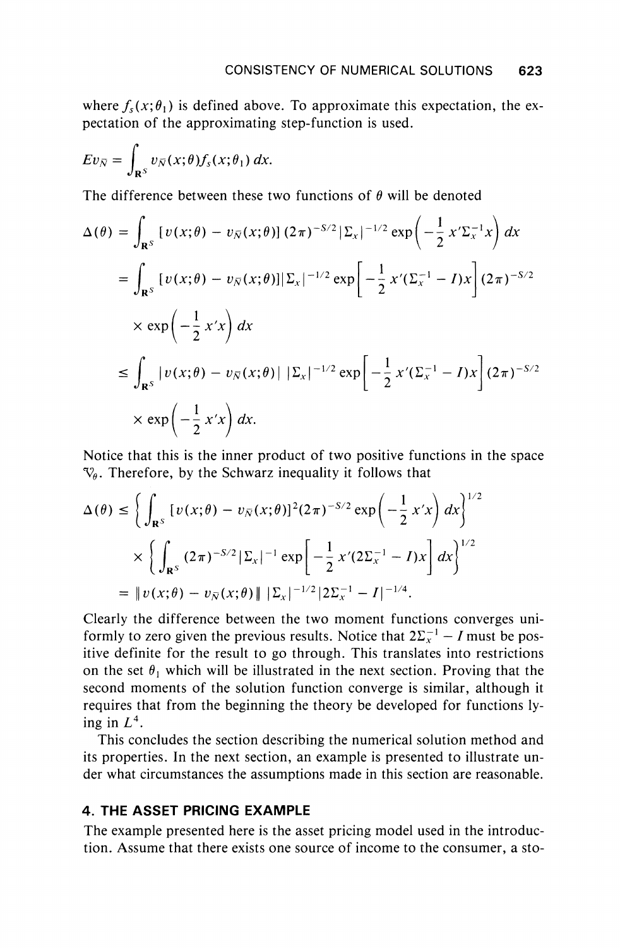where  $f_s(x; \theta_1)$  is defined above. To approximate this expectation, the ex**pectation of the approximating step-function is used.** 

$$
Ev_{\overline{N}} = \int_{\mathbf{R}^S} v_{\overline{N}}(x;\theta) f_s(x;\theta_1) \, dx.
$$

The difference between these two functions of  $\theta$  will be denoted

$$
\Delta(\theta) = \int_{\mathbf{R}^S} \left[ v(x;\theta) - v_{\bar{N}}(x;\theta) \right] (2\pi)^{-S/2} |\Sigma_x|^{-1/2} \exp\left( -\frac{1}{2} x' \Sigma_x^{-1} x \right) dx
$$
  
\n
$$
= \int_{\mathbf{R}^S} \left[ v(x;\theta) - v_{\bar{N}}(x;\theta) \right] |\Sigma_x|^{-1/2} \exp\left[ -\frac{1}{2} x' (\Sigma_x^{-1} - I) x \right] (2\pi)^{-S/2}
$$
  
\n
$$
\times \exp\left( -\frac{1}{2} x' x \right) dx
$$
  
\n
$$
\leq \int_{\mathbf{R}^S} |v(x;\theta) - v_{\bar{N}}(x;\theta)| |\Sigma_x|^{-1/2} \exp\left[ -\frac{1}{2} x' (\Sigma_x^{-1} - I) x \right] (2\pi)^{-S/2}
$$
  
\n
$$
\times \exp\left( -\frac{1}{2} x' x \right) dx.
$$

**Notice that this is the inner product of two positive functions in the space**   $\mathcal{V}_{\theta}$ . Therefore, by the Schwarz inequality it follows that

$$
\Delta(\theta) \leq \left\{ \int_{\mathbf{R}^S} \left[ v(x;\theta) - v_{\bar{N}}(x;\theta) \right]^2 (2\pi)^{-S/2} \exp\left( -\frac{1}{2} x' x \right) dx \right\}^{1/2}
$$

$$
\times \left\{ \int_{\mathbf{R}^S} (2\pi)^{-S/2} |\Sigma_x|^{-1} \exp\left[ -\frac{1}{2} x' (2\Sigma_x^{-1} - I) x \right] dx \right\}^{1/2}
$$

$$
= \| v(x;\theta) - v_{\bar{N}}(x;\theta) \| |\Sigma_x|^{-1/2} |2\Sigma_x^{-1} - I|^{-1/4}.
$$

**Clearly the difference between the two moment functions converges uni**formly to zero given the previous results. Notice that  $2\Sigma_{r}^{-1} - I$  must be pos**itive definite for the result to go through. This translates into restrictions**  on the set  $\theta_1$  which will be illustrated in the next section. Proving that the **second moments of the solution function converge is similar, although it requires that from the beginning the theory be developed for functions ly**ing in  $L^4$ .

**This concludes the section describing the numerical solution method and its properties. In the next section, an example is presented to illustrate under what circumstances the assumptions made in this section are reasonable.** 

#### **4. THE ASSET PRICING EXAMPLE**

**The example presented here is the asset pricing model used in the introduction. Assume that there exists one source of income to the consumer, a sto-**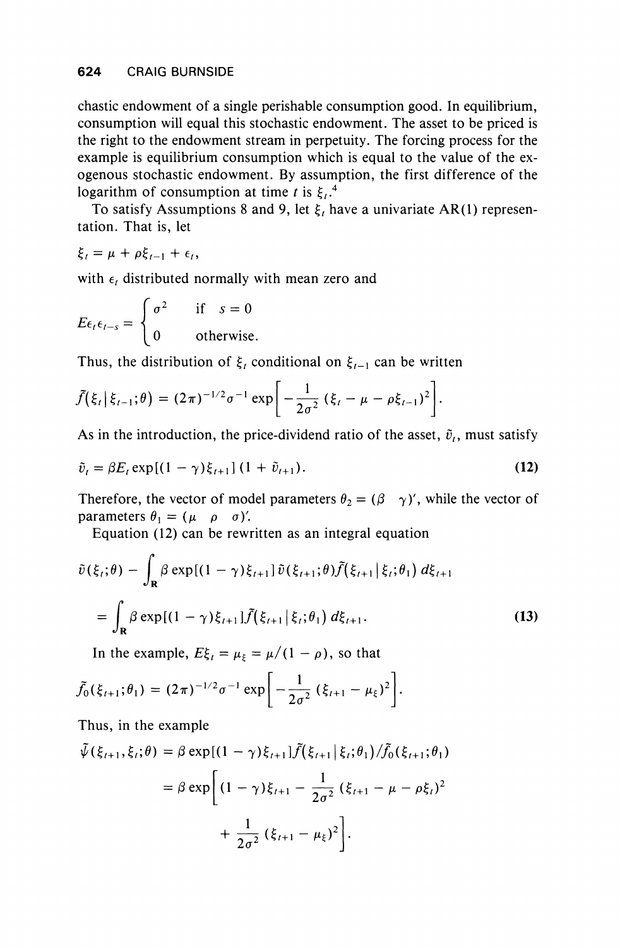**chastic endowment of a single perishable consumption good. In equilibrium, consumption will equal this stochastic endowment. The asset to be priced is the right to the endowment stream in perpetuity. The forcing process for the example is equilibrium consumption which is equal to the value of the exogenous stochastic endowment. By assumption, the first difference of the logarithm of consumption at time t is**  $\xi_t$ **.<sup>4</sup>** 

To satisfy Assumptions 8 and 9, let  $\xi$ , have a univariate AR(1) represen**tation. That is, let** 

$$
\xi_t = \mu + \rho \xi_{t-1} + \epsilon_t,
$$

with  $\epsilon_t$  distributed normally with mean zero and

$$
E\epsilon_t \epsilon_{t-s} = \begin{cases} \sigma^2 & \text{if } s = 0\\ 0 & \text{otherwise.} \end{cases}
$$

Thus, the distribution of  $\xi_t$  conditional on  $\xi_{t-1}$  can be written

$$
\tilde{f}(\xi_t | \xi_{t-1}; \theta) = (2\pi)^{-1/2} \sigma^{-1} \exp \bigg[ -\frac{1}{2\sigma^2} (\xi_t - \mu - \rho \xi_{t-1})^2 \bigg].
$$

As in the introduction, the price-dividend ratio of the asset,  $\tilde{v}_t$ , must satisfy

$$
\tilde{v}_t = \beta E_t \exp[(1 - \gamma)\xi_{t+1}](1 + \tilde{v}_{t+1}).
$$
\n(12)

Therefore, the vector of model parameters  $\theta_2 = (\beta - \gamma)'$ , while the vector of **parameters**  $\theta_1 = (\mu \quad \rho \quad \sigma)'$ .

**Equation (12) can be rewritten as an integral equation** 

$$
\tilde{v}(\xi_{i};\theta) - \int_{\mathbf{R}} \beta \exp[(1-\gamma)\xi_{t+1}] \tilde{v}(\xi_{t+1};\theta) \tilde{f}(\xi_{t+1} | \xi_{i};\theta_{1}) d\xi_{t+1}
$$
\n
$$
= \int_{\mathbf{R}} \beta \exp[(1-\gamma)\xi_{t+1}] \tilde{f}(\xi_{t+1} | \xi_{i};\theta_{1}) d\xi_{t+1}.
$$
\n(13)

In the example,  $E\xi_i = \mu_\xi = \mu/(1 - \rho)$ , so that

$$
\tilde{f}_0(\xi_{t+1};\theta_1) = (2\pi)^{-1/2}\sigma^{-1}\exp\bigg[-\frac{1}{2\sigma^2}(\xi_{t+1}-\mu_\xi)^2\bigg].
$$

**Thus, in the example** 

$$
\tilde{\psi}(\xi_{t+1}, \xi_t; \theta) = \beta \exp[(1 - \gamma)\xi_{t+1}] \tilde{f}(\xi_{t+1} | \xi_t; \theta_1) / \tilde{f}_0(\xi_{t+1}; \theta_1)
$$
\n
$$
= \beta \exp\left[ (1 - \gamma)\xi_{t+1} - \frac{1}{2\sigma^2} (\xi_{t+1} - \mu - \rho \xi_t)^2 + \frac{1}{2\sigma^2} (\xi_{t+1} - \mu_{\xi})^2 \right].
$$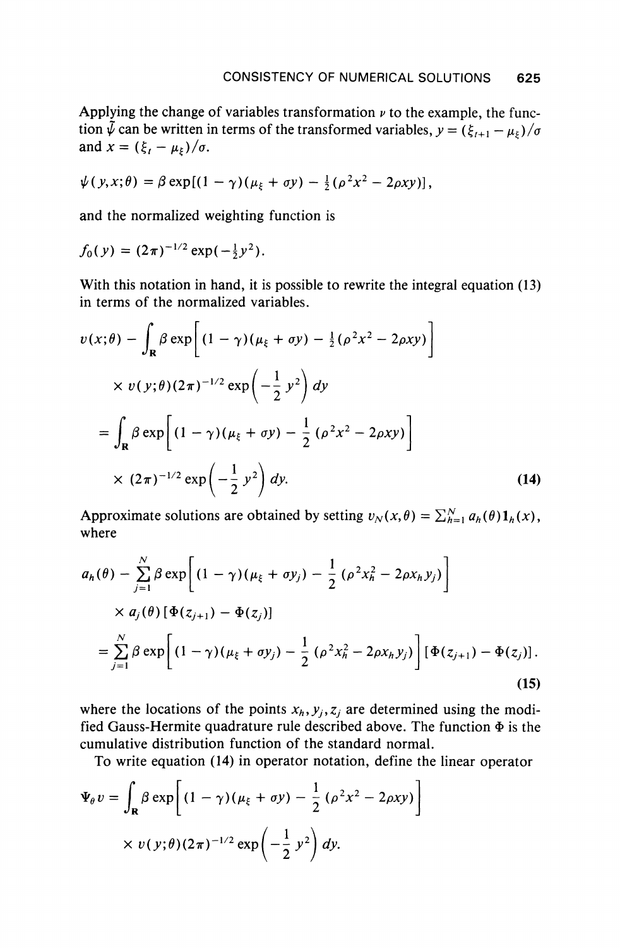**Applying the change of variables transformation v to the example, the function**  $\tilde{\psi}$  **can be written in terms of the transformed variables,**  $y = (\xi_{t+1} - \mu_{\xi})/\sigma$ and  $x = (\xi_t - \mu_\xi)/\sigma$ .

$$
\psi(y,x;\theta)=\beta \exp[(1-\gamma)(\mu_{\xi}+\sigma y)-\frac{1}{2}(\rho^2x^2-2\rho xy)],
$$

**and the normalized weighting function is** 

$$
f_0(y) = (2\pi)^{-1/2} \exp(-\tfrac{1}{2}y^2).
$$

**With this notation in hand, it is possible to rewrite the integral equation (13) in terms of the normalized variables.** 

$$
v(x; \theta) - \int_{\mathbf{R}} \beta \exp\left[ (1 - \gamma)(\mu_{\xi} + \sigma y) - \frac{1}{2} (\rho^2 x^2 - 2\rho xy) \right]
$$
  
 
$$
\times v(y; \theta) (2\pi)^{-1/2} \exp\left( -\frac{1}{2} y^2 \right) dy
$$
  

$$
= \int_{\mathbf{R}} \beta \exp\left[ (1 - \gamma)(\mu_{\xi} + \sigma y) - \frac{1}{2} (\rho^2 x^2 - 2\rho xy) \right]
$$
  

$$
\times (2\pi)^{-1/2} \exp\left( -\frac{1}{2} y^2 \right) dy.
$$
 (14)

**Approximate solutions are obtained by setting**  $v_N(x, \theta) = \sum_{h=1}^N a_h(\theta) \mathbf{1}_h(x)$ **, where** 

$$
a_h(\theta) - \sum_{j=1}^N \beta \exp\left[ (1 - \gamma)(\mu_{\xi} + \sigma y_j) - \frac{1}{2} (\rho^2 x_h^2 - 2\rho x_h y_j) \right]
$$
  
 
$$
\times a_j(\theta) [\Phi(z_{j+1}) - \Phi(z_j)]
$$
  

$$
= \sum_{j=1}^N \beta \exp\left[ (1 - \gamma)(\mu_{\xi} + \sigma y_j) - \frac{1}{2} (\rho^2 x_h^2 - 2\rho x_h y_j) \right] [\Phi(z_{j+1}) - \Phi(z_j)].
$$
  
(15)

where the locations of the points  $x_h, y_j, z_j$  are determined using the modified Gauss-Hermite quadrature rule described above. The function  $\Phi$  is the **cumulative distribution function of the standard normal.** 

**To write equation (14) in operator notation, define the linear operator** 

$$
\Psi_{\theta} v = \int_{\mathbf{R}} \beta \exp\left[ (1 - \gamma)(\mu_{\xi} + \sigma y) - \frac{1}{2} (\rho^2 x^2 - 2\rho xy) \right]
$$
  
 
$$
\times v(y; \theta) (2\pi)^{-1/2} \exp\left( -\frac{1}{2} y^2 \right) dy.
$$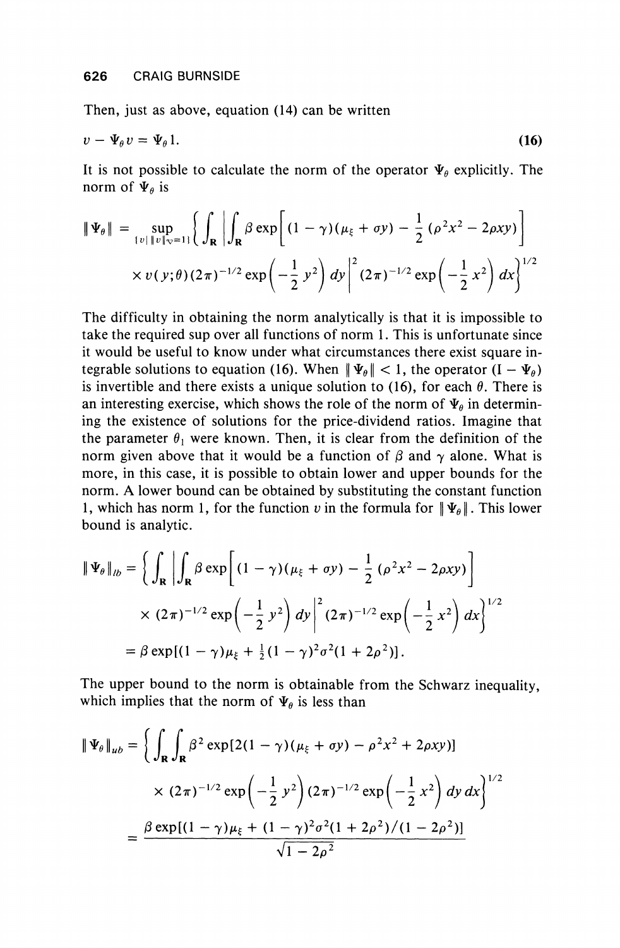**Then, just as above, equation (14) can be written** 

$$
v - \Psi_{\theta} v = \Psi_{\theta} 1. \tag{16}
$$

It is not possible to calculate the norm of the operator  $\Psi_{\theta}$  explicitly. The **norm** of  $\Psi_{\theta}$  is

$$
\|\Psi_{\theta}\| = \sup_{\{\nu \,|\, \|\nu\|_{\infty} = 1\}} \left\{ \int_{\mathbf{R}} \left| \int_{\mathbf{R}} \beta \exp\left[ (1 - \gamma)(\mu_{\xi} + \sigma y) - \frac{1}{2} (\rho^2 x^2 - 2\rho xy) \right] \right| \right\}
$$
  
×  $v(y; \theta) (2\pi)^{-1/2} \exp\left( -\frac{1}{2} y^2 \right) dy \Big|^{2} (2\pi)^{-1/2} \exp\left( -\frac{1}{2} x^2 \right) dx \right\}^{1/2}$ 

**The difficulty in obtaining the norm analytically is that it is impossible to take the required sup over all functions of norm 1. This is unfortunate since it would be useful to know under what circumstances there exist square integrable solutions to equation (16). When**  $\|\Psi_{\theta}\| < 1$ **, the operator**  $(I - \Psi_{\theta})$ is invertible and there exists a unique solution to  $(16)$ , for each  $\theta$ . There is an interesting exercise, which shows the role of the norm of  $\Psi_{\theta}$  in determin**ing the existence of solutions for the price-dividend ratios. Imagine that**  the parameter  $\theta_1$  were known. Then, it is clear from the definition of the **norm given above that it would be a function of**  $\beta$  **and**  $\gamma$  **alone. What is more, in this case, it is possible to obtain lower and upper bounds for the norm. A lower bound can be obtained by substituting the constant function 1, which has norm 1, for the function v in the formula for**  $\|\Psi_{\theta}\|$ **. This lower bound is analytic.** 

$$
\|\Psi_{\theta}\|_{\mathit{lb}} = \left\{ \int_{\mathbf{R}} \left| \int_{\mathbf{R}} \beta \exp\left[ (1 - \gamma)(\mu_{\xi} + \sigma y) - \frac{1}{2} (\rho^2 x^2 - 2\rho xy) \right] \right| \right\}
$$
  

$$
\times (2\pi)^{-1/2} \exp\left( -\frac{1}{2} y^2 \right) dy \Big|^{2} (2\pi)^{-1/2} \exp\left( -\frac{1}{2} x^2 \right) dx \right\}^{1/2}
$$
  

$$
= \beta \exp[(1 - \gamma)\mu_{\xi} + \frac{1}{2}(1 - \gamma)^2 \sigma^2 (1 + 2\rho^2)].
$$

**The upper bound to the norm is obtainable from the Schwarz inequality,**  which implies that the norm of  $\Psi_{\theta}$  is less than

$$
\|\Psi_{\theta}\|_{ub} = \left\{ \int_{\mathbf{R}} \int_{\mathbf{R}} \beta^2 \exp[2(1-\gamma)(\mu_{\xi} + \sigma y) - \rho^2 x^2 + 2\rho xy)] \right\}
$$
  

$$
\times (2\pi)^{-1/2} \exp\left(-\frac{1}{2} y^2\right) (2\pi)^{-1/2} \exp\left(-\frac{1}{2} x^2\right) dy dx \right\}^{1/2}
$$
  

$$
= \frac{\beta \exp[(1-\gamma)\mu_{\xi} + (1-\gamma)^2 \sigma^2 (1+2\rho^2)/(1-2\rho^2)]}{\sqrt{1-2\rho^2}}
$$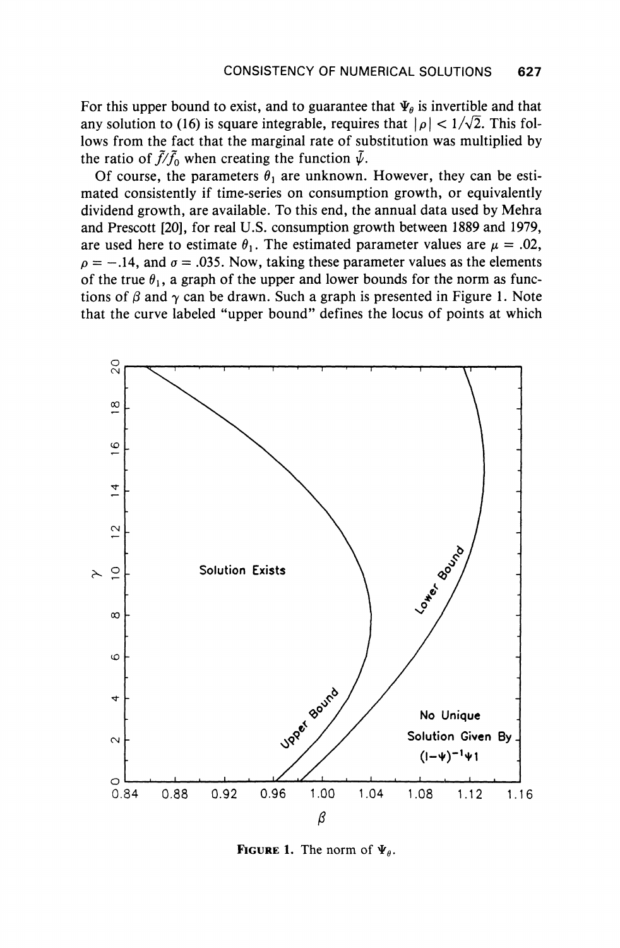For this upper bound to exist, and to guarantee that  $\Psi_{\theta}$  is invertible and that any solution to (16) is square integrable, requires that  $|\rho| < 1/\sqrt{2}$ . This fol**lows from the fact that the marginal rate of substitution was multiplied by**  the ratio of  $\tilde{f}/\tilde{f}_0$  when creating the function  $\tilde{\psi}$ .

Of course, the parameters  $\theta_1$  are unknown. However, they can be esti**mated consistently if time-series on consumption growth, or equivalently dividend growth, are available. To this end, the annual data used by Mehra and Prescott [20], for real U.S. consumption growth between 1889 and 1979,**  are used here to estimate  $\theta_1$ . The estimated parameter values are  $\mu = .02$ ,  $p = -.14$ , and  $q = .035$ . Now, taking these parameter values as the elements of the true  $\theta_1$ , a graph of the upper and lower bounds for the norm as functions of  $\beta$  and  $\gamma$  can be drawn. Such a graph is presented in Figure 1. Note **that the curve labeled "upper bound" defines the locus of points at which** 



**FIGURE 1.** The norm of  $\Psi_{\theta}$ .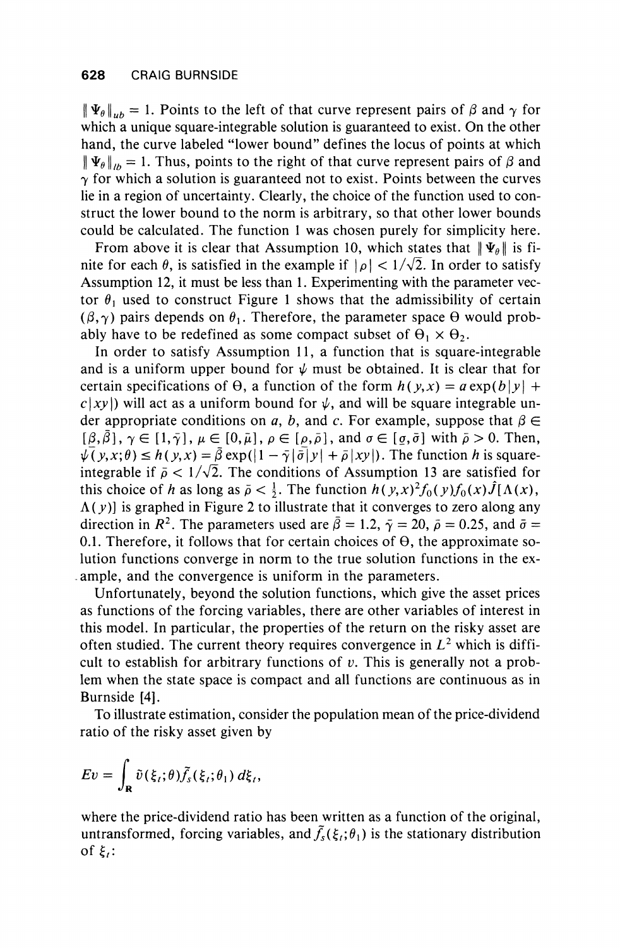$\|\Psi_{\theta}\|_{ub} = 1$ . Points to the left of that curve represent pairs of  $\beta$  and  $\gamma$  for **which a unique square-integrable solution is guaranteed to exist. On the other hand, the curve labeled "lower bound" defines the locus of points at which**   $\|\Psi_{\theta}\|_{\ell_b} = 1$ . Thus, points to the right of that curve represent pairs of  $\beta$  and  $\gamma$  for which a solution is guaranteed not to exist. Points between the curves **lie in a region of uncertainty. Clearly, the choice of the function used to construct the lower bound to the norm is arbitrary, so that other lower bounds could be calculated. The function 1 was chosen purely for simplicity here.** 

**From above it is clear that Assumption 10, which states that**  $\|\Psi_{\theta}\|$  **is fi**nite for each  $\theta$ , is satisfied in the example if  $|\rho| < 1/\sqrt{2}$ . In order to satisfy **Assumption 12, it must be less than 1. Experimenting with the parameter vec**tor  $\theta_1$  used to construct Figure 1 shows that the admissibility of certain  $(\beta, \gamma)$  pairs depends on  $\theta_1$ . Therefore, the parameter space  $\Theta$  would probably have to be redefined as some compact subset of  $\theta_1 \times \theta_2$ .

**In order to satisfy Assumption 11, a function that is square-integrable**  and is a uniform upper bound for  $\psi$  must be obtained. It is clear that for certain specifications of  $\Theta$ , a function of the form  $h(y, x) = a \exp(b|y| + b)$  $c|xy|$ ) will act as a uniform bound for  $\psi$ , and will be square integrable under appropriate conditions on a, b, and c. For example, suppose that  $\beta \in$  $[\beta, \overline{\beta}], \gamma \in [1, \overline{\gamma}], \mu \in [0, \overline{\mu}], \rho \in [\rho, \overline{\rho}],$  and  $\sigma \in [\sigma, \overline{\sigma}]$  with  $\overline{\rho} > 0$ . Then,  $\sqrt{(y, x; \theta)} \le h(y, x) = \bar{\beta} \exp((1 - \bar{\gamma}|\bar{\sigma}|y) + \bar{\rho}|xy|)$ . The function h is squareintegrable if  $\bar{\rho} < 1/\sqrt{2}$ . The conditions of Assumption 13 are satisfied for this choice of h as long as  $\bar{\rho} < \frac{1}{2}$ . The function  $h(y, x)^2 f_0(y) f_0(x) \hat{J}[\Lambda(x)]$ ,  $\Lambda(y)$  is graphed in Figure 2 to illustrate that it converges to zero along any direction in  $R^2$ . The parameters used are  $\bar{\beta} = 1.2$ ,  $\bar{\gamma} = 20$ ,  $\bar{\rho} = 0.25$ , and  $\bar{\sigma} =$ **0.1. Therefore, it follows that for certain choices of 0, the approximate solution functions converge in norm to the true solution functions in the example, and the convergence is uniform in the parameters.** 

**Unfortunately, beyond the solution functions, which give the asset prices as functions of the forcing variables, there are other variables of interest in this model. In particular, the properties of the return on the risky asset are**  often studied. The current theory requires convergence in  $L^2$  which is diffi**cult to establish for arbitrary functions of v. This is generally not a problem when the state space is compact and all functions are continuous as in Burnside [4].** 

**To illustrate estimation, consider the population mean of the price-dividend ratio of the risky asset given by** 

$$
Ev = \int_{\mathbf{R}} \tilde{v}(\xi_i; \theta) \tilde{f}_s(\xi_i; \theta_1) d\xi_i,
$$

**where the price-dividend ratio has been written as a function of the original,**  untransformed, forcing variables, and  $\tilde{f}_s(\xi_t; \theta_1)$  is the stationary distribution of  $\xi_i$ :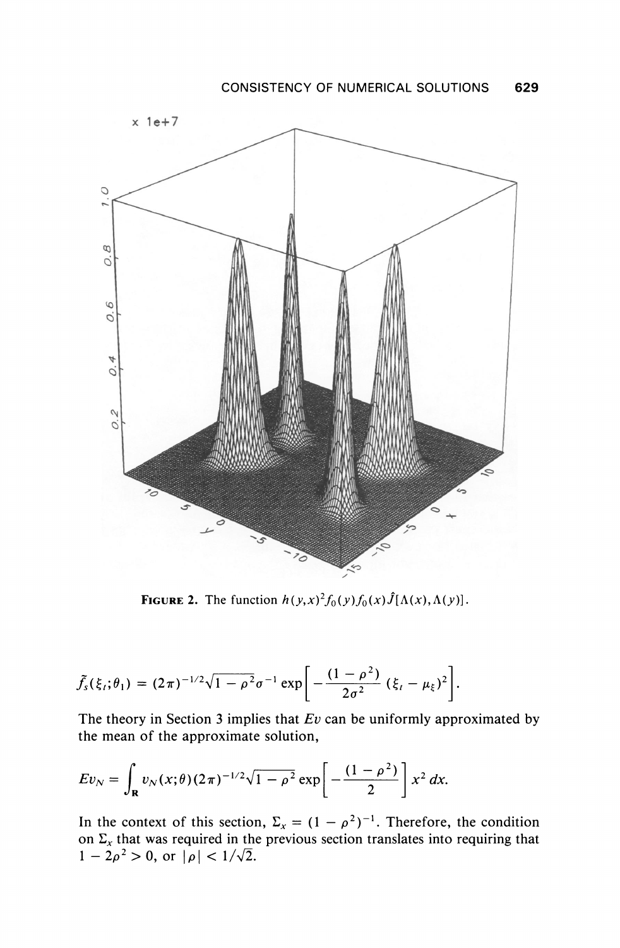

**FIGURE 2.** The function  $h(y, x)^2 f_0(y) f_0(x) \hat{J}[\Lambda(x), \Lambda(y)]$ .

$$
\tilde{f}_s(\xi_t;\theta_1) = (2\pi)^{-1/2}\sqrt{1-\rho^2}\sigma^{-1}\exp\bigg[-\frac{(1-\rho^2)}{2\sigma^2}(\xi_t-\mu_{\xi})^2\bigg].
$$

**The theory in Section 3 implies that Ev can be uniformly approximated by the mean of the approximate solution,** 

$$
Ev_N = \int_{\mathbf{R}} v_N(x;\theta) (2\pi)^{-1/2} \sqrt{1-\rho^2} \exp \left[-\frac{(1-\rho^2)}{2}\right] x^2 dx.
$$

In the context of this section,  $\Sigma_x = (1 - \rho^2)^{-1}$ . Therefore, the condition on  $\Sigma_x$  that was required in the previous section translates into requiring that  $1 - 2\rho^2 > 0$ , or  $|\rho| < 1/\sqrt{2}$ .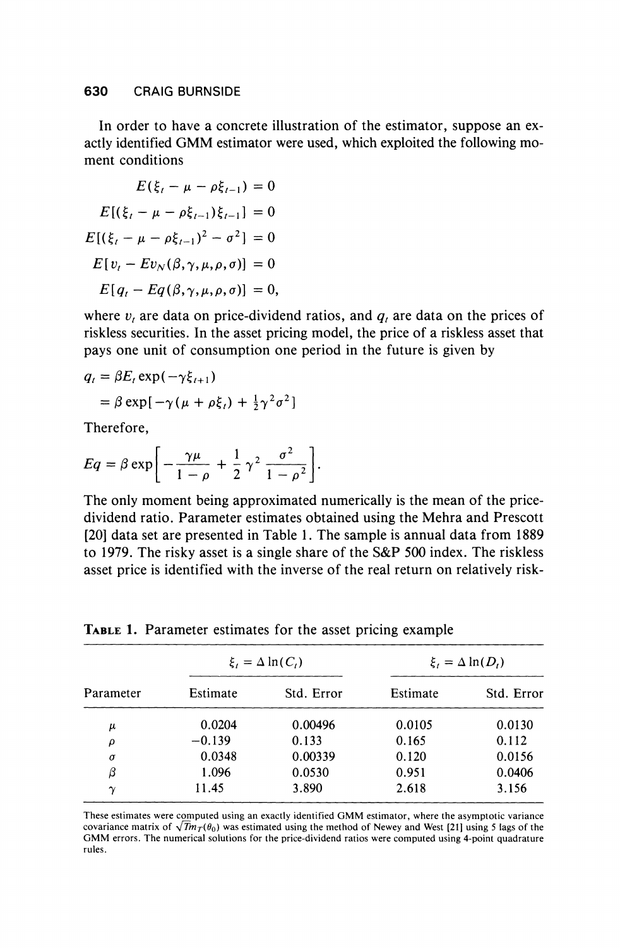#### **630 CRAIG BURNSIDE**

**In order to have a concrete illustration of the estimator, suppose an exactly identified GMM estimator were used, which exploited the following moment conditions** 

$$
E(\xi_{t} - \mu - \rho \xi_{t-1}) = 0
$$
  
\n
$$
E[(\xi_{t} - \mu - \rho \xi_{t-1})\xi_{t-1}] = 0
$$
  
\n
$$
E[(\xi_{t} - \mu - \rho \xi_{t-1})^{2} - \sigma^{2}] = 0
$$
  
\n
$$
E[v_{t} - Ev_{N}(\beta, \gamma, \mu, \rho, \sigma)] = 0
$$
  
\n
$$
E[q_{t} - Eq(\beta, \gamma, \mu, \rho, \sigma)] = 0,
$$

where  $v_t$  are data on price-dividend ratios, and  $q_t$  are data on the prices of **riskless securities. In the asset pricing model, the price of a riskless asset that pays one unit of consumption one period in the future is given by** 

$$
q_t = \beta E_t \exp(-\gamma \xi_{t+1})
$$
  
=  $\beta \exp[-\gamma (\mu + \rho \xi_t) + \frac{1}{2} \gamma^2 \sigma^2]$ 

**Therefore,** 

$$
Eq = \beta \exp \bigg[ -\frac{\gamma \mu}{1-\rho} + \frac{1}{2} \gamma^2 \frac{\sigma^2}{1-\rho^2} \bigg]
$$

**The only moment being approximated numerically is the mean of the pricedividend ratio. Parameter estimates obtained using the Mehra and Prescott [20] data set are presented in Table 1. The sample is annual data from 1889 to 1979. The risky asset is a single share of the S&P 500 index. The riskless asset price is identified with the inverse of the real return on relatively risk-**

| Parameter | $\xi_i = \Delta \ln(C_i)$ |            | $\xi_i = \Delta \ln(D_i)$ |            |
|-----------|---------------------------|------------|---------------------------|------------|
|           | Estimate                  | Std. Error | Estimate                  | Std. Error |
| μ         | 0.0204                    | 0.00496    | 0.0105                    | 0.0130     |
| ρ         | $-0.139$                  | 0.133      | 0.165                     | 0.112      |
| $\sigma$  | 0.0348                    | 0.00339    | 0.120                     | 0.0156     |
| β         | 1.096                     | 0.0530     | 0.951                     | 0.0406     |
| $\gamma$  | 11.45                     | 3.890      | 2.618                     | 3.156      |

**TABLE 1. Parameter estimates for the asset pricing example** 

**These estimates were computed using an exactly identified GMM estimator, where the asymptotic variance**  covariance matrix of  $\sqrt{Tm_T(\theta_0)}$  was estimated using the method of Newey and West [21] using 5 lags of the **GMM errors. The numerical solutions for the price-dividend ratios were computed using 4-point quadrature rules.**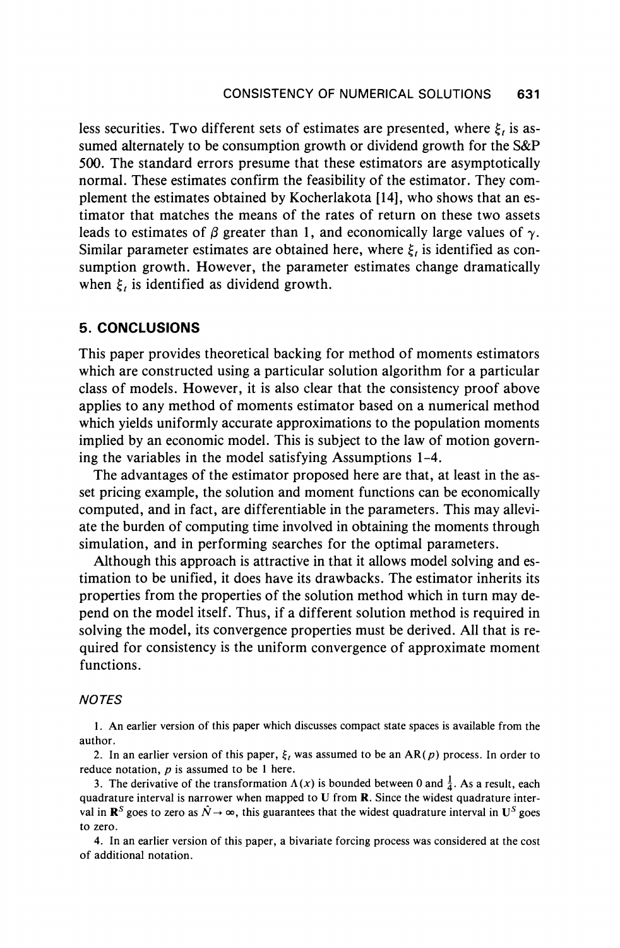less securities. Two different sets of estimates are presented, where  $\xi_t$  is as**sumed alternately to be consumption growth or dividend growth for the S&P 500. The standard errors presume that these estimators are asymptotically normal. These estimates confirm the feasibility of the estimator. They complement the estimates obtained by Kocherlakota [14], who shows that an estimator that matches the means of the rates of return on these two assets**  leads to estimates of  $\beta$  greater than 1, and economically large values of  $\gamma$ . Similar parameter estimates are obtained here, where  $\xi_t$  is identified as con**sumption growth. However, the parameter estimates change dramatically**  when  $\xi_t$  is identified as dividend growth.

#### **5. CONCLUSIONS**

**This paper provides theoretical backing for method of moments estimators which are constructed using a particular solution algorithm for a particular class of models. However, it is also clear that the consistency proof above applies to any method of moments estimator based on a numerical method which yields uniformly accurate approximations to the population moments implied by an economic model. This is subject to the law of motion governing the variables in the model satisfying Assumptions 1-4.** 

**The advantages of the estimator proposed here are that, at least in the asset pricing example, the solution and moment functions can be economically computed, and in fact, are differentiable in the parameters. This may alleviate the burden of computing time involved in obtaining the moments through simulation, and in performing searches for the optimal parameters.** 

**Although this approach is attractive in that it allows model solving and estimation to be unified, it does have its drawbacks. The estimator inherits its properties from the properties of the solution method which in turn may depend on the model itself. Thus, if a different solution method is required in solving the model, its convergence properties must be derived. All that is required for consistency is the uniform convergence of approximate moment functions.** 

#### **NOTES**

**1. An earlier version of this paper which discusses compact state spaces is available from the author.** 

2. In an earlier version of this paper,  $\xi_t$  was assumed to be an AR(p) process. In order to **reduce notation, p is assumed to be 1 here.** 

**3.** The derivative of the transformation  $\Lambda(x)$  is bounded between 0 and  $\frac{1}{4}$ . As a result, each **quadrature interval is narrower when mapped to U from R. Since the widest quadrature inter**val in  $\mathbb{R}^S$  goes to zero as  $\hat{N} \rightarrow \infty$ , this guarantees that the widest quadrature interval in U<sup>S</sup> goes **to zero.** 

**4. In an earlier version of this paper, a bivariate forcing process was considered at the cost of additional notation.**